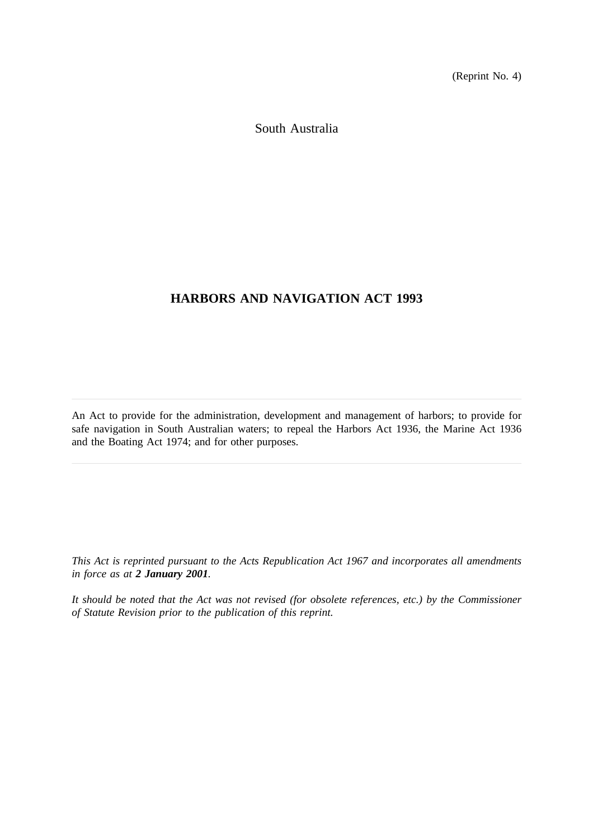(Reprint No. 4)

South Australia

# **HARBORS AND NAVIGATION ACT 1993**

An Act to provide for the administration, development and management of harbors; to provide for safe navigation in South Australian waters; to repeal the Harbors Act 1936, the Marine Act 1936 and the Boating Act 1974; and for other purposes.

*This Act is reprinted pursuant to the Acts Republication Act 1967 and incorporates all amendments in force as at 2 January 2001.*

*It should be noted that the Act was not revised (for obsolete references, etc.) by the Commissioner of Statute Revision prior to the publication of this reprint.*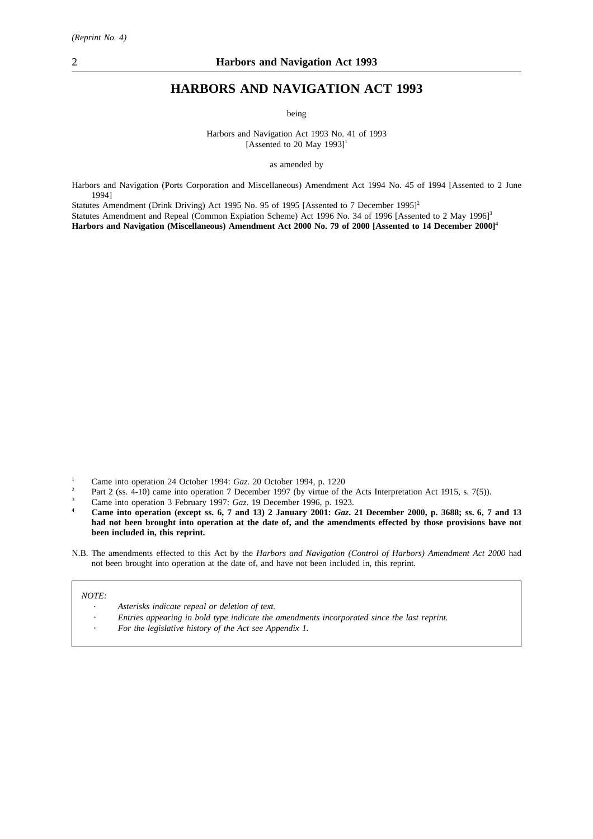# **HARBORS AND NAVIGATION ACT 1993**

being

Harbors and Navigation Act 1993 No. 41 of 1993 [Assented to 20 May  $1993$ ]<sup>1</sup>

as amended by

Harbors and Navigation (Ports Corporation and Miscellaneous) Amendment Act 1994 No. 45 of 1994 [Assented to 2 June 1994]

Statutes Amendment (Drink Driving) Act 1995 No. 95 of 1995 [Assented to 7 December 1995]<sup>2</sup>

Statutes Amendment and Repeal (Common Expiation Scheme) Act 1996 No. 34 of 1996 [Assented to 2 May 1996]<sup>3</sup> **Harbors and Navigation (Miscellaneous) Amendment Act 2000 No. 79 of 2000 [Assented to 14 December 2000]4**

- <sup>1</sup> Came into operation 24 October 1994: *Gaz.* 20 October 1994, p. 1220
- <sup>2</sup> Part 2 (ss. 4-10) came into operation 7 December 1997 (by virtue of the Acts Interpretation Act 1915, s. 7(5)).
- <sup>3</sup> Came into operation 3 February 1997: *Gaz*. 19 December 1996, p. 1923.

**<sup>4</sup> Came into operation (except ss. 6, 7 and 13) 2 January 2001:** *Gaz***. 21 December 2000, p. 3688; ss. 6, 7 and 13 had not been brought into operation at the date of, and the amendments effected by those provisions have not been included in, this reprint.**

N.B. The amendments effected to this Act by the *Harbors and Navigation (Control of Harbors) Amendment Act 2000* had not been brought into operation at the date of, and have not been included in, this reprint.

#### *NOTE:*

- *Asterisks indicate repeal or deletion of text.*
- *Entries appearing in bold type indicate the amendments incorporated since the last reprint.*
- *For the legislative history of the Act see Appendix 1.*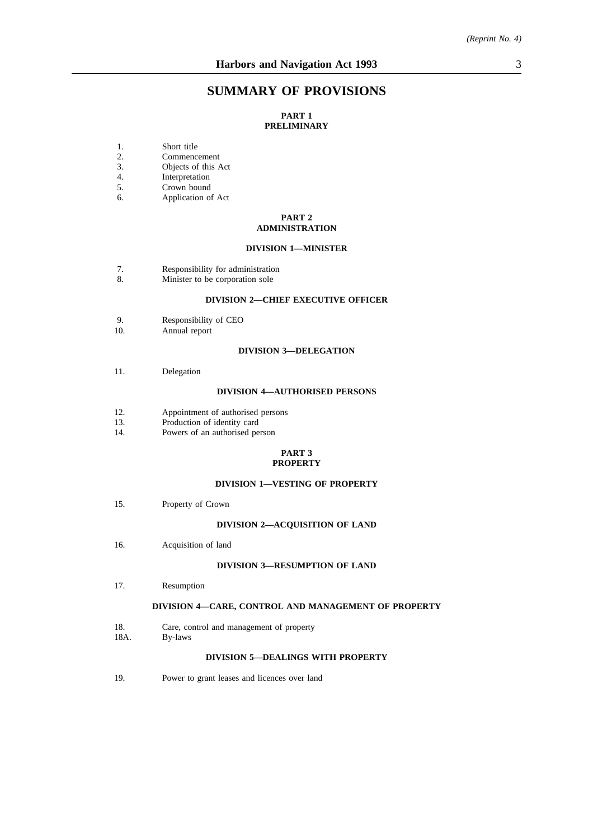# **SUMMARY OF PROVISIONS**

### **PART 1 PRELIMINARY**

- 1. Short title
- 2. Commencement<br>3. Objects of this A
- Objects of this Act
- 4. Interpretation
- 5. Crown bound
- 6. Application of Act

#### **PART 2 ADMINISTRATION**

#### **DIVISION 1—MINISTER**

- 7. Responsibility for administration
- 8. Minister to be corporation sole

### **DIVISION 2—CHIEF EXECUTIVE OFFICER**

- 9. Responsibility of CEO<br>10. Annual report
- Annual report

#### **DIVISION 3—DELEGATION**

11. Delegation

#### **DIVISION 4—AUTHORISED PERSONS**

- 12. Appointment of authorised persons<br>13. Production of identity card
- Production of identity card
- 14. Powers of an authorised person

#### **PART 3 PROPERTY**

#### **DIVISION 1—VESTING OF PROPERTY**

15. Property of Crown

#### **DIVISION 2—ACQUISITION OF LAND**

16. Acquisition of land

#### **DIVISION 3—RESUMPTION OF LAND**

17. Resumption

#### **DIVISION 4—CARE, CONTROL AND MANAGEMENT OF PROPERTY**

- 18. Care, control and management of property
- 18A. By-laws

#### **DIVISION 5—DEALINGS WITH PROPERTY**

19. Power to grant leases and licences over land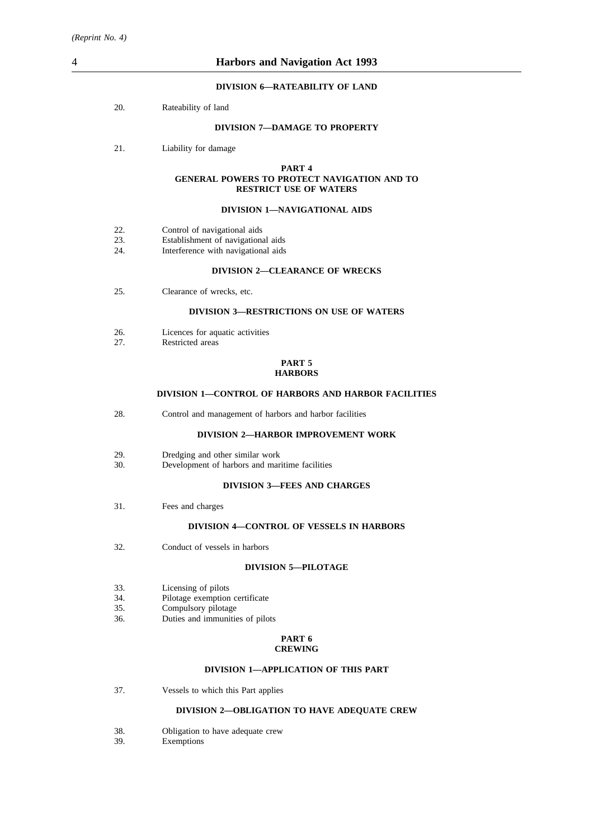#### **DIVISION 6—RATEABILITY OF LAND**

20. Rateability of land

### **DIVISION 7—DAMAGE TO PROPERTY**

21. Liability for damage

#### **PART 4 GENERAL POWERS TO PROTECT NAVIGATION AND TO RESTRICT USE OF WATERS**

#### **DIVISION 1—NAVIGATIONAL AIDS**

- 22. Control of navigational aids
- 23. Establishment of navigational aids<br>24. Interference with navigational aids
- Interference with navigational aids

#### **DIVISION 2—CLEARANCE OF WRECKS**

25. Clearance of wrecks, etc.

### **DIVISION 3—RESTRICTIONS ON USE OF WATERS**

- 26. Licences for aquatic activities<br>27. Restricted areas
- Restricted areas

#### **PART 5 HARBORS**

#### **DIVISION 1—CONTROL OF HARBORS AND HARBOR FACILITIES**

28. Control and management of harbors and harbor facilities

### **DIVISION 2—HARBOR IMPROVEMENT WORK**

- 29. Dredging and other similar work<br>30. Development of harbors and mar
- Development of harbors and maritime facilities

### **DIVISION 3—FEES AND CHARGES**

31. Fees and charges

#### **DIVISION 4—CONTROL OF VESSELS IN HARBORS**

32. Conduct of vessels in harbors

#### **DIVISION 5—PILOTAGE**

- 33. Licensing of pilots
- 34. Pilotage exemption certificate<br>35. Compulsory pilotage
- Compulsory pilotage
- 36. Duties and immunities of pilots

#### **PART 6 CREWING**

#### **DIVISION 1—APPLICATION OF THIS PART**

37. Vessels to which this Part applies

#### **DIVISION 2—OBLIGATION TO HAVE ADEQUATE CREW**

- 38. Obligation to have adequate crew
- 39. Exemptions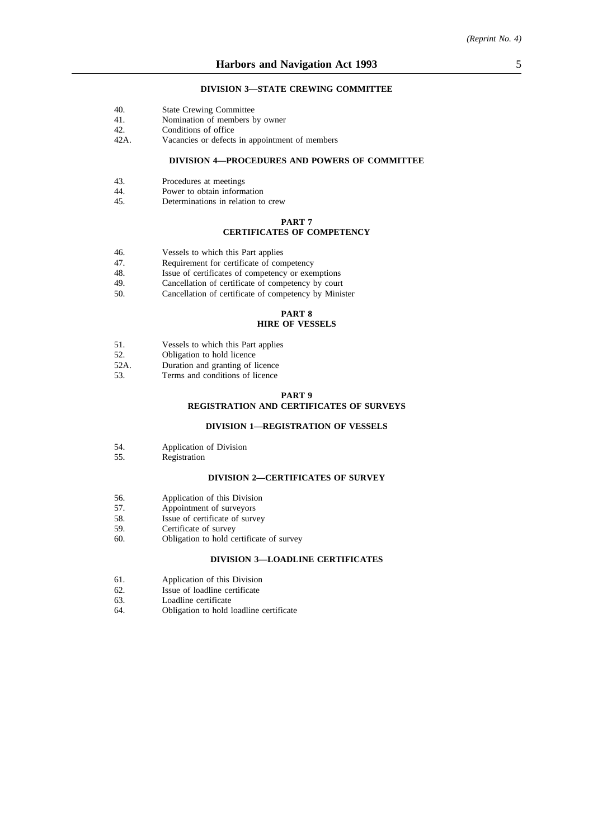#### **DIVISION 3—STATE CREWING COMMITTEE**

- 40. State Crewing Committee
- 41. Nomination of members by owner<br>42. Conditions of office
- Conditions of office
- 42A. Vacancies or defects in appointment of members

### **DIVISION 4—PROCEDURES AND POWERS OF COMMITTEE**

- 43. Procedures at meetings<br>44. Power to obtain inform
- 44. Power to obtain information<br>45. Determinations in relation to
- Determinations in relation to crew

#### **PART 7**

#### **CERTIFICATES OF COMPETENCY**

- 46. Vessels to which this Part applies
- 47. Requirement for certificate of competency
- 48. Issue of certificates of competency or exemptions<br>49. Cancellation of certificate of competency by court
- Cancellation of certificate of competency by court
- 50. Cancellation of certificate of competency by Minister

### **PART 8 HIRE OF VESSELS**

- 51. Vessels to which this Part applies
- 52. Obligation to hold licence
- 
- 52A. Duration and granting of licence<br>53. Terms and conditions of licence Terms and conditions of licence

#### **PART 9**

#### **REGISTRATION AND CERTIFICATES OF SURVEYS**

#### **DIVISION 1—REGISTRATION OF VESSELS**

- 54. Application of Division
- 55. Registration

### **DIVISION 2—CERTIFICATES OF SURVEY**

- 56. Application of this Division<br>57. Appointment of surveyors
- 57. Appointment of surveyors<br>58. Issue of certificate of surv
- 58. Issue of certificate of survey<br>59. Certificate of survey
- 59. Certificate of survey<br>60. Obligation to hold ce
- Obligation to hold certificate of survey

#### **DIVISION 3—LOADLINE CERTIFICATES**

- 61. Application of this Division
- 62. Issue of loadline certificate
- 63. Loadline certificate
- 64. Obligation to hold loadline certificate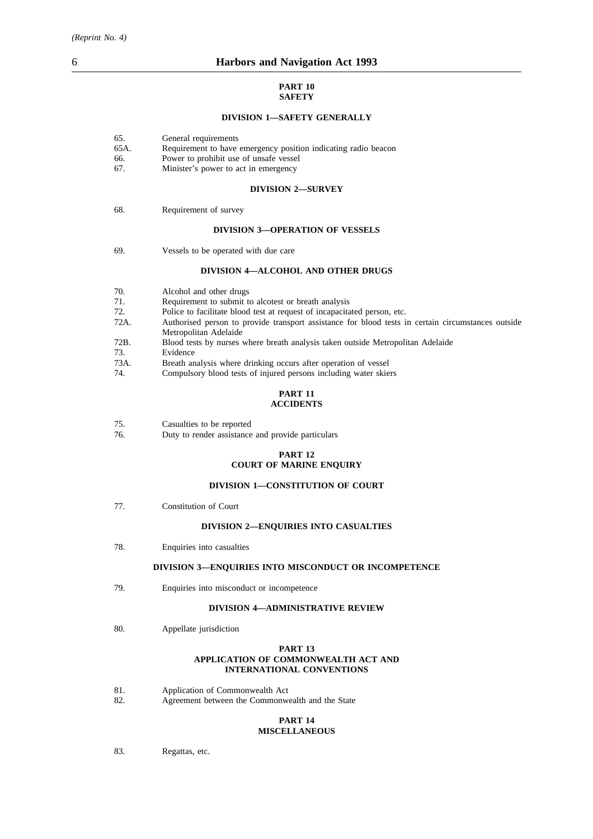### **PART 10 SAFETY**

#### **DIVISION 1—SAFETY GENERALLY**

| 65. |  | General requirements |
|-----|--|----------------------|
|-----|--|----------------------|

- 65A. Requirement to have emergency position indicating radio beacon
- 66. Power to prohibit use of unsafe vessel<br>67. Minister's power to act in emergency
- Minister's power to act in emergency

#### **DIVISION 2—SURVEY**

68. Requirement of survey

#### **DIVISION 3—OPERATION OF VESSELS**

69. Vessels to be operated with due care

#### **DIVISION 4—ALCOHOL AND OTHER DRUGS**

70. Alcohol and other drugs 71. Requirement to submit to alcotest or breath analysis<br>72 Police to facilitate blood test at request of incapacita 72. Police to facilitate blood test at request of incapacitated person, etc.<br>72A. Authorised person to provide transport assistance for blood tests i Authorised person to provide transport assistance for blood tests in certain circumstances outside Metropolitan Adelaide 72B. Blood tests by nurses where breath analysis taken outside Metropolitan Adelaide 73. Evidence 73A. Breath analysis where drinking occurs after operation of vessel<br>74. Compulsory blood tests of injured persons including water skie Compulsory blood tests of injured persons including water skiers

#### **PART 11 ACCIDENTS**

| 75. | Casualties to be reported |  |
|-----|---------------------------|--|
|     |                           |  |

76. Duty to render assistance and provide particulars

### **PART 12 COURT OF MARINE ENQUIRY**

#### **DIVISION 1—CONSTITUTION OF COURT**

77. Constitution of Court

#### **DIVISION 2—ENQUIRIES INTO CASUALTIES**

78. Enquiries into casualties

#### **DIVISION 3—ENQUIRIES INTO MISCONDUCT OR INCOMPETENCE**

79. Enquiries into misconduct or incompetence

#### **DIVISION 4—ADMINISTRATIVE REVIEW**

80. Appellate jurisdiction

#### **PART 13 APPLICATION OF COMMONWEALTH ACT AND INTERNATIONAL CONVENTIONS**

- 81. Application of Commonwealth Act
- 82. Agreement between the Commonwealth and the State

#### **PART 14 MISCELLANEOUS**

83. Regattas, etc.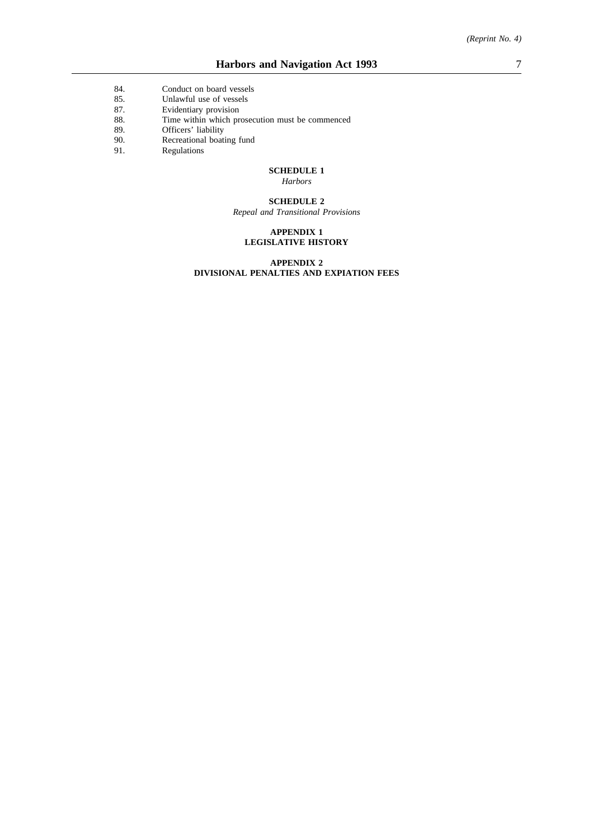- 84. Conduct on board vessels
- 85. Unlawful use of vessels<br>87. Evidentiary provision
- 87. Evidentiary provision
- 88. Time within which prosecution must be commenced
- 89. Officers' liability<br>90. Recreational boati
- 90. Recreational boating fund
- 91. Regulations

### **SCHEDULE 1**

*Harbors*

#### **SCHEDULE 2**

*Repeal and Transitional Provisions*

#### **APPENDIX 1 LEGISLATIVE HISTORY**

#### **APPENDIX 2 DIVISIONAL PENALTIES AND EXPIATION FEES**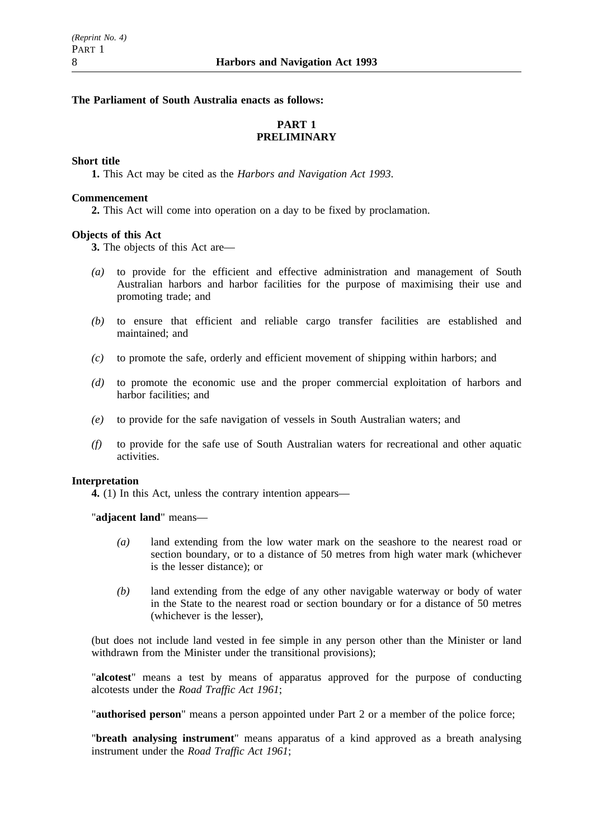### **The Parliament of South Australia enacts as follows:**

# **PART 1 PRELIMINARY**

### **Short title**

**1.** This Act may be cited as the *Harbors and Navigation Act 1993*.

### **Commencement**

**2.** This Act will come into operation on a day to be fixed by proclamation.

# **Objects of this Act**

**3.** The objects of this Act are—

- *(a)* to provide for the efficient and effective administration and management of South Australian harbors and harbor facilities for the purpose of maximising their use and promoting trade; and
- *(b)* to ensure that efficient and reliable cargo transfer facilities are established and maintained; and
- *(c)* to promote the safe, orderly and efficient movement of shipping within harbors; and
- *(d)* to promote the economic use and the proper commercial exploitation of harbors and harbor facilities; and
- *(e)* to provide for the safe navigation of vessels in South Australian waters; and
- *(f)* to provide for the safe use of South Australian waters for recreational and other aquatic activities.

### **Interpretation**

**4.** (1) In this Act, unless the contrary intention appears—

"**adjacent land**" means—

- *(a)* land extending from the low water mark on the seashore to the nearest road or section boundary, or to a distance of 50 metres from high water mark (whichever is the lesser distance); or
- *(b)* land extending from the edge of any other navigable waterway or body of water in the State to the nearest road or section boundary or for a distance of 50 metres (whichever is the lesser),

(but does not include land vested in fee simple in any person other than the Minister or land withdrawn from the Minister under the transitional provisions);

"**alcotest**" means a test by means of apparatus approved for the purpose of conducting alcotests under the *Road Traffic Act 1961*;

"**authorised person**" means a person appointed under Part 2 or a member of the police force;

"**breath analysing instrument**" means apparatus of a kind approved as a breath analysing instrument under the *Road Traffic Act 1961*;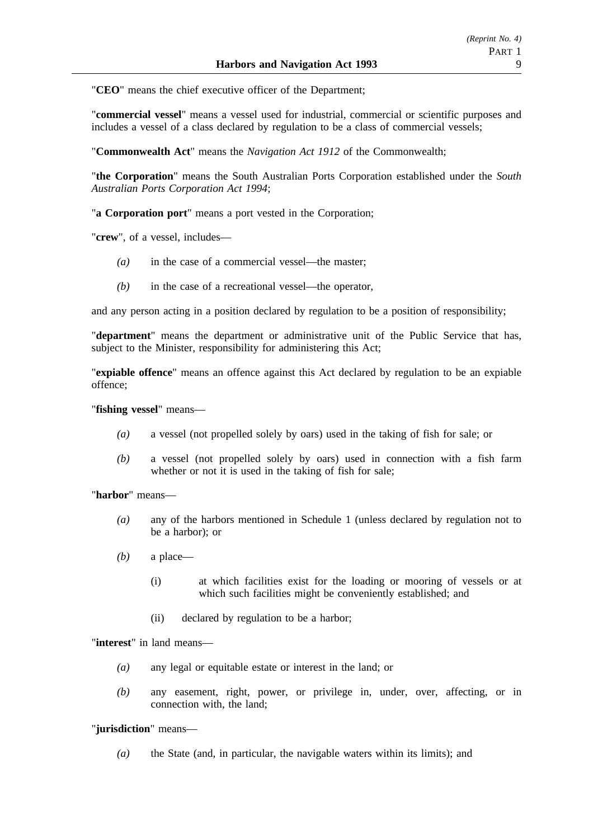"**CEO**" means the chief executive officer of the Department;

"**commercial vessel**" means a vessel used for industrial, commercial or scientific purposes and includes a vessel of a class declared by regulation to be a class of commercial vessels;

"**Commonwealth Act**" means the *Navigation Act 1912* of the Commonwealth;

"**the Corporation**" means the South Australian Ports Corporation established under the *South Australian Ports Corporation Act 1994*;

"**a Corporation port**" means a port vested in the Corporation;

"**crew**", of a vessel, includes—

- *(a)* in the case of a commercial vessel—the master;
- *(b)* in the case of a recreational vessel—the operator,

and any person acting in a position declared by regulation to be a position of responsibility;

"**department**" means the department or administrative unit of the Public Service that has, subject to the Minister, responsibility for administering this Act;

"**expiable offence**" means an offence against this Act declared by regulation to be an expiable offence;

"**fishing vessel**" means—

- *(a)* a vessel (not propelled solely by oars) used in the taking of fish for sale; or
- *(b)* a vessel (not propelled solely by oars) used in connection with a fish farm whether or not it is used in the taking of fish for sale;

"**harbor**" means—

- *(a)* any of the harbors mentioned in Schedule 1 (unless declared by regulation not to be a harbor); or
- *(b)* a place—
	- (i) at which facilities exist for the loading or mooring of vessels or at which such facilities might be conveniently established; and
	- (ii) declared by regulation to be a harbor;

"**interest**" in land means—

- *(a)* any legal or equitable estate or interest in the land; or
- *(b)* any easement, right, power, or privilege in, under, over, affecting, or in connection with, the land;

# "**jurisdiction**" means—

*(a)* the State (and, in particular, the navigable waters within its limits); and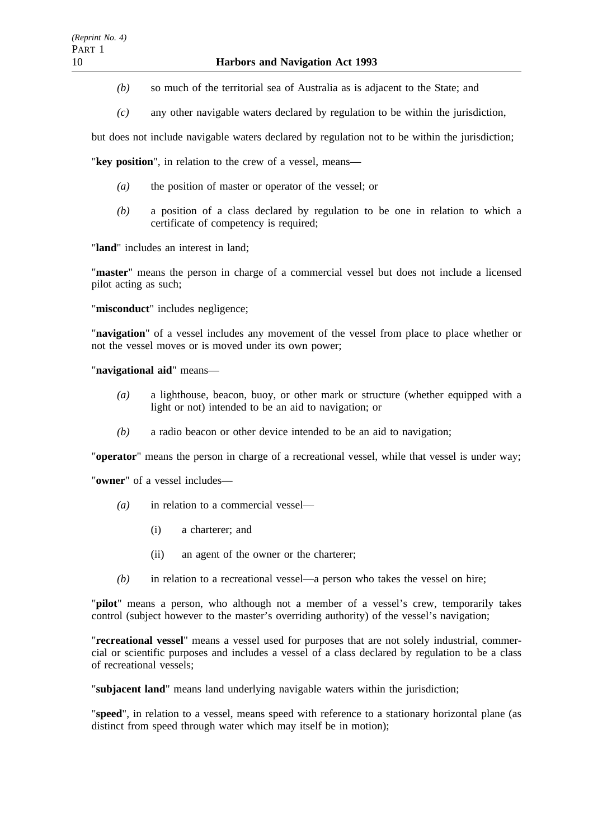- *(b)* so much of the territorial sea of Australia as is adjacent to the State; and
- *(c)* any other navigable waters declared by regulation to be within the jurisdiction,

but does not include navigable waters declared by regulation not to be within the jurisdiction;

"**key position**", in relation to the crew of a vessel, means—

- *(a)* the position of master or operator of the vessel; or
- *(b)* a position of a class declared by regulation to be one in relation to which a certificate of competency is required;

"**land**" includes an interest in land;

"**master**" means the person in charge of a commercial vessel but does not include a licensed pilot acting as such;

"**misconduct**" includes negligence;

"**navigation**" of a vessel includes any movement of the vessel from place to place whether or not the vessel moves or is moved under its own power;

### "**navigational aid**" means—

- *(a)* a lighthouse, beacon, buoy, or other mark or structure (whether equipped with a light or not) intended to be an aid to navigation; or
- *(b)* a radio beacon or other device intended to be an aid to navigation;

"**operator**" means the person in charge of a recreational vessel, while that vessel is under way;

"**owner**" of a vessel includes—

- *(a)* in relation to a commercial vessel—
	- (i) a charterer; and
	- (ii) an agent of the owner or the charterer;
- *(b)* in relation to a recreational vessel—a person who takes the vessel on hire;

"**pilot**" means a person, who although not a member of a vessel's crew, temporarily takes control (subject however to the master's overriding authority) of the vessel's navigation;

"**recreational vessel**" means a vessel used for purposes that are not solely industrial, commercial or scientific purposes and includes a vessel of a class declared by regulation to be a class of recreational vessels;

"**subjacent land**" means land underlying navigable waters within the jurisdiction;

"**speed**", in relation to a vessel, means speed with reference to a stationary horizontal plane (as distinct from speed through water which may itself be in motion);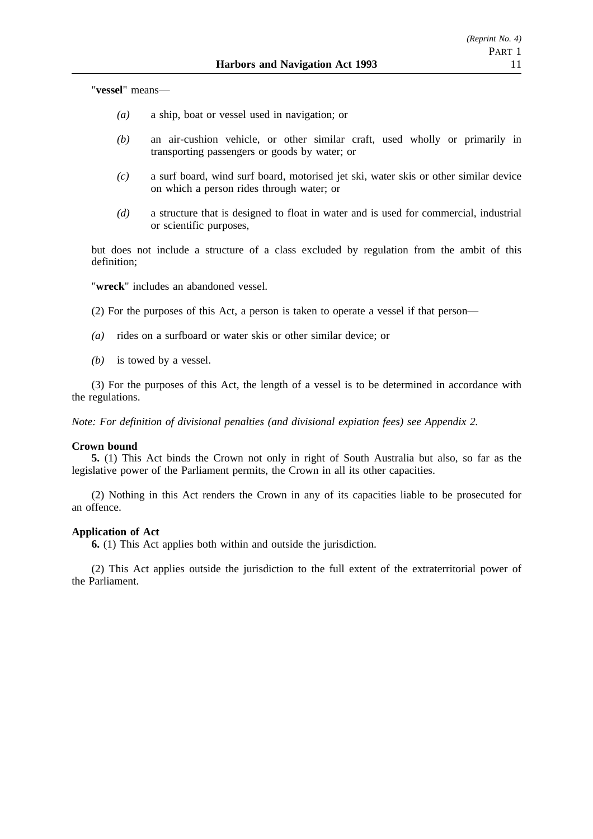"**vessel**" means—

- *(a)* a ship, boat or vessel used in navigation; or
- *(b)* an air-cushion vehicle, or other similar craft, used wholly or primarily in transporting passengers or goods by water; or
- *(c)* a surf board, wind surf board, motorised jet ski, water skis or other similar device on which a person rides through water; or
- *(d)* a structure that is designed to float in water and is used for commercial, industrial or scientific purposes,

but does not include a structure of a class excluded by regulation from the ambit of this definition;

"**wreck**" includes an abandoned vessel.

(2) For the purposes of this Act, a person is taken to operate a vessel if that person—

- *(a)* rides on a surfboard or water skis or other similar device; or
- *(b)* is towed by a vessel.

(3) For the purposes of this Act, the length of a vessel is to be determined in accordance with the regulations.

*Note: For definition of divisional penalties (and divisional expiation fees) see Appendix 2.*

#### **Crown bound**

**5.** (1) This Act binds the Crown not only in right of South Australia but also, so far as the legislative power of the Parliament permits, the Crown in all its other capacities.

(2) Nothing in this Act renders the Crown in any of its capacities liable to be prosecuted for an offence.

### **Application of Act**

**6.** (1) This Act applies both within and outside the jurisdiction.

(2) This Act applies outside the jurisdiction to the full extent of the extraterritorial power of the Parliament.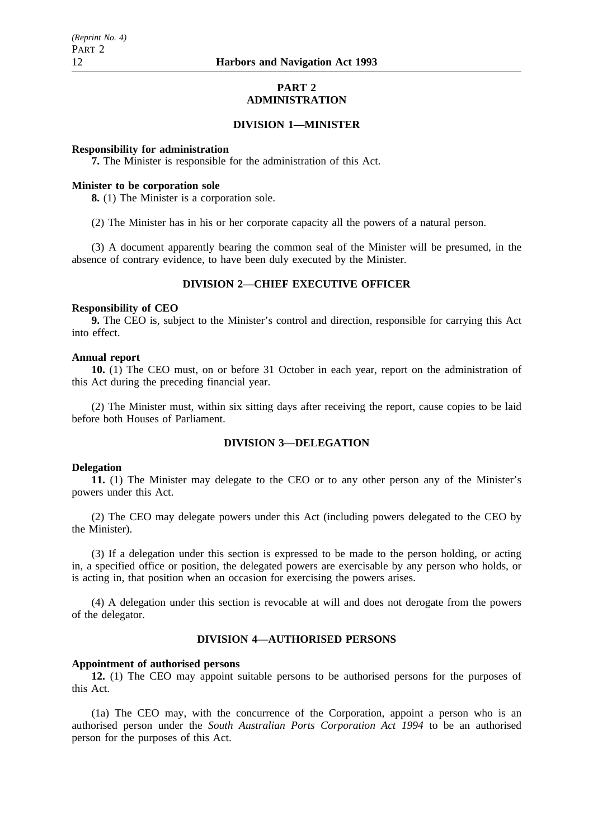### **PART 2 ADMINISTRATION**

### **DIVISION 1—MINISTER**

### **Responsibility for administration**

**7.** The Minister is responsible for the administration of this Act.

### **Minister to be corporation sole**

**8.** (1) The Minister is a corporation sole.

(2) The Minister has in his or her corporate capacity all the powers of a natural person.

(3) A document apparently bearing the common seal of the Minister will be presumed, in the absence of contrary evidence, to have been duly executed by the Minister.

# **DIVISION 2—CHIEF EXECUTIVE OFFICER**

### **Responsibility of CEO**

**9.** The CEO is, subject to the Minister's control and direction, responsible for carrying this Act into effect.

### **Annual report**

**10.** (1) The CEO must, on or before 31 October in each year, report on the administration of this Act during the preceding financial year.

(2) The Minister must, within six sitting days after receiving the report, cause copies to be laid before both Houses of Parliament.

# **DIVISION 3—DELEGATION**

### **Delegation**

**11.** (1) The Minister may delegate to the CEO or to any other person any of the Minister's powers under this Act.

(2) The CEO may delegate powers under this Act (including powers delegated to the CEO by the Minister).

(3) If a delegation under this section is expressed to be made to the person holding, or acting in, a specified office or position, the delegated powers are exercisable by any person who holds, or is acting in, that position when an occasion for exercising the powers arises.

(4) A delegation under this section is revocable at will and does not derogate from the powers of the delegator.

# **DIVISION 4—AUTHORISED PERSONS**

### **Appointment of authorised persons**

**12.** (1) The CEO may appoint suitable persons to be authorised persons for the purposes of this Act.

(1a) The CEO may, with the concurrence of the Corporation, appoint a person who is an authorised person under the *South Australian Ports Corporation Act 1994* to be an authorised person for the purposes of this Act.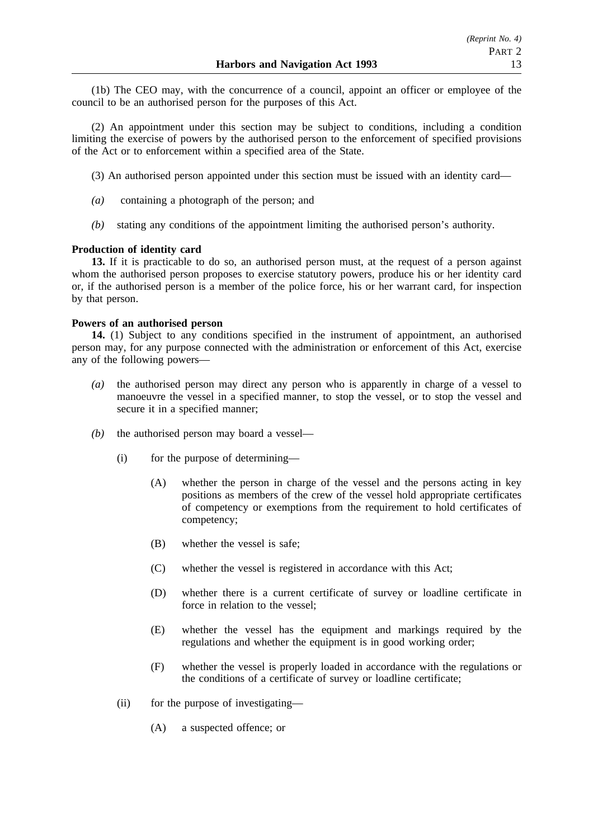(1b) The CEO may, with the concurrence of a council, appoint an officer or employee of the council to be an authorised person for the purposes of this Act.

(2) An appointment under this section may be subject to conditions, including a condition limiting the exercise of powers by the authorised person to the enforcement of specified provisions of the Act or to enforcement within a specified area of the State.

- (3) An authorised person appointed under this section must be issued with an identity card—
- *(a)* containing a photograph of the person; and
- *(b)* stating any conditions of the appointment limiting the authorised person's authority.

### **Production of identity card**

**13.** If it is practicable to do so, an authorised person must, at the request of a person against whom the authorised person proposes to exercise statutory powers, produce his or her identity card or, if the authorised person is a member of the police force, his or her warrant card, for inspection by that person.

# **Powers of an authorised person**

**14.** (1) Subject to any conditions specified in the instrument of appointment, an authorised person may, for any purpose connected with the administration or enforcement of this Act, exercise any of the following powers—

- *(a)* the authorised person may direct any person who is apparently in charge of a vessel to manoeuvre the vessel in a specified manner, to stop the vessel, or to stop the vessel and secure it in a specified manner;
- *(b)* the authorised person may board a vessel—
	- (i) for the purpose of determining—
		- (A) whether the person in charge of the vessel and the persons acting in key positions as members of the crew of the vessel hold appropriate certificates of competency or exemptions from the requirement to hold certificates of competency;
		- (B) whether the vessel is safe;
		- (C) whether the vessel is registered in accordance with this Act;
		- (D) whether there is a current certificate of survey or loadline certificate in force in relation to the vessel;
		- (E) whether the vessel has the equipment and markings required by the regulations and whether the equipment is in good working order;
		- (F) whether the vessel is properly loaded in accordance with the regulations or the conditions of a certificate of survey or loadline certificate;
	- (ii) for the purpose of investigating—
		- (A) a suspected offence; or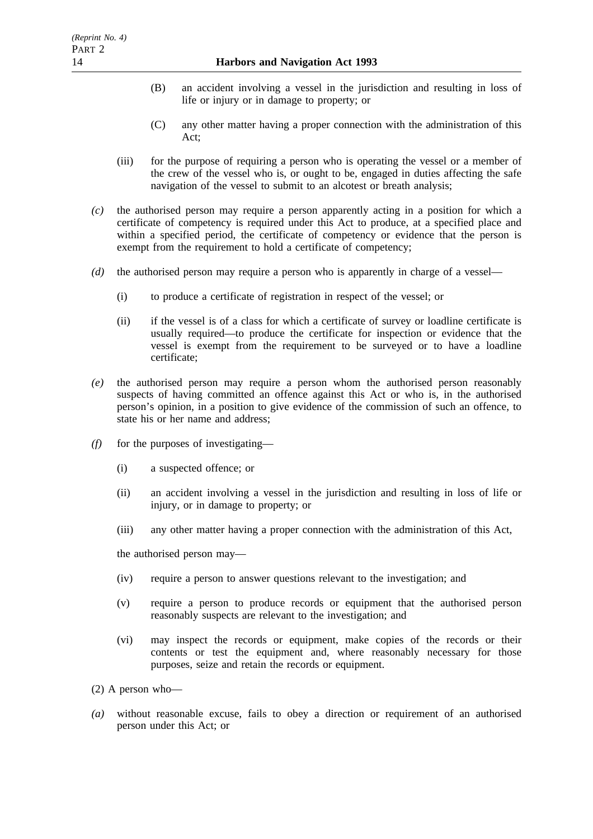- (B) an accident involving a vessel in the jurisdiction and resulting in loss of life or injury or in damage to property; or
- (C) any other matter having a proper connection with the administration of this Act;
- (iii) for the purpose of requiring a person who is operating the vessel or a member of the crew of the vessel who is, or ought to be, engaged in duties affecting the safe navigation of the vessel to submit to an alcotest or breath analysis;
- *(c)* the authorised person may require a person apparently acting in a position for which a certificate of competency is required under this Act to produce, at a specified place and within a specified period, the certificate of competency or evidence that the person is exempt from the requirement to hold a certificate of competency;
- *(d)* the authorised person may require a person who is apparently in charge of a vessel—
	- (i) to produce a certificate of registration in respect of the vessel; or
	- (ii) if the vessel is of a class for which a certificate of survey or loadline certificate is usually required—to produce the certificate for inspection or evidence that the vessel is exempt from the requirement to be surveyed or to have a loadline certificate;
- *(e)* the authorised person may require a person whom the authorised person reasonably suspects of having committed an offence against this Act or who is, in the authorised person's opinion, in a position to give evidence of the commission of such an offence, to state his or her name and address;
- *(f)* for the purposes of investigating—
	- (i) a suspected offence; or
	- (ii) an accident involving a vessel in the jurisdiction and resulting in loss of life or injury, or in damage to property; or
	- (iii) any other matter having a proper connection with the administration of this Act,

the authorised person may—

- (iv) require a person to answer questions relevant to the investigation; and
- (v) require a person to produce records or equipment that the authorised person reasonably suspects are relevant to the investigation; and
- (vi) may inspect the records or equipment, make copies of the records or their contents or test the equipment and, where reasonably necessary for those purposes, seize and retain the records or equipment.

(2) A person who—

*(a)* without reasonable excuse, fails to obey a direction or requirement of an authorised person under this Act; or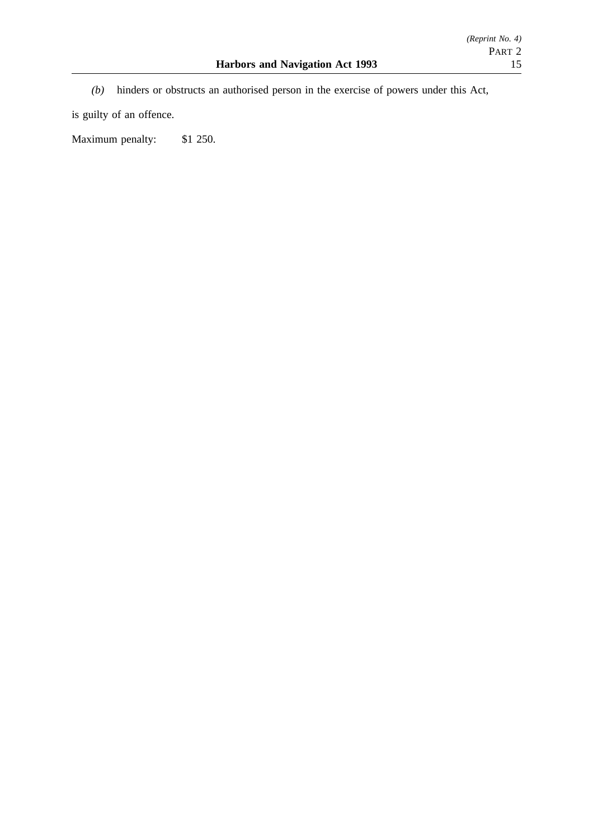- *(Reprint No. 4)* PART 2
- *(b)* hinders or obstructs an authorised person in the exercise of powers under this Act,

is guilty of an offence.

Maximum penalty: \$1 250.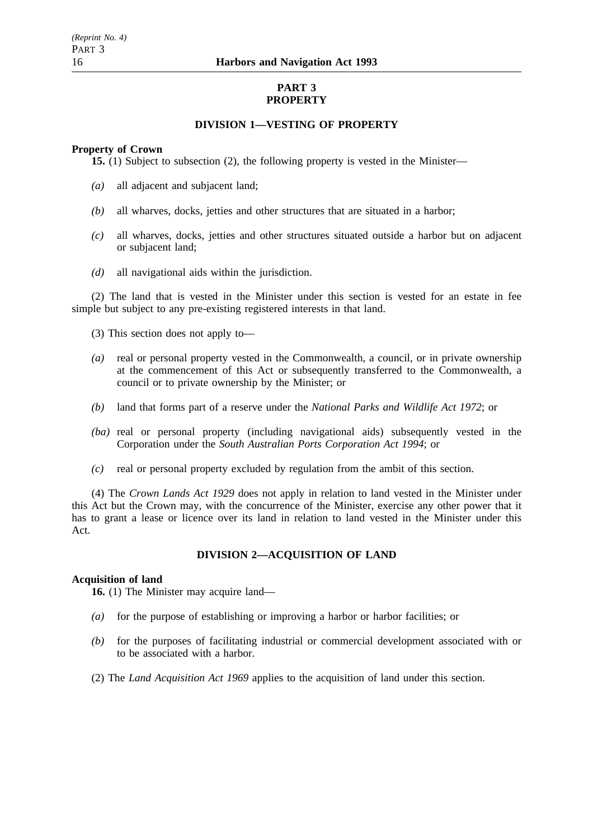# **PART 3 PROPERTY**

# **DIVISION 1—VESTING OF PROPERTY**

### **Property of Crown**

**15.** (1) Subject to subsection (2), the following property is vested in the Minister—

- *(a)* all adjacent and subjacent land;
- *(b)* all wharves, docks, jetties and other structures that are situated in a harbor;
- *(c)* all wharves, docks, jetties and other structures situated outside a harbor but on adjacent or subjacent land;
- *(d)* all navigational aids within the jurisdiction.

(2) The land that is vested in the Minister under this section is vested for an estate in fee simple but subject to any pre-existing registered interests in that land.

- (3) This section does not apply to—
- *(a)* real or personal property vested in the Commonwealth, a council, or in private ownership at the commencement of this Act or subsequently transferred to the Commonwealth, a council or to private ownership by the Minister; or
- *(b)* land that forms part of a reserve under the *National Parks and Wildlife Act 1972*; or
- *(ba)* real or personal property (including navigational aids) subsequently vested in the Corporation under the *South Australian Ports Corporation Act 1994*; or
- *(c)* real or personal property excluded by regulation from the ambit of this section.

(4) The *Crown Lands Act 1929* does not apply in relation to land vested in the Minister under this Act but the Crown may, with the concurrence of the Minister, exercise any other power that it has to grant a lease or licence over its land in relation to land vested in the Minister under this Act.

# **DIVISION 2—ACQUISITION OF LAND**

### **Acquisition of land**

**16.** (1) The Minister may acquire land—

- *(a)* for the purpose of establishing or improving a harbor or harbor facilities; or
- *(b)* for the purposes of facilitating industrial or commercial development associated with or to be associated with a harbor.
- (2) The *Land Acquisition Act 1969* applies to the acquisition of land under this section.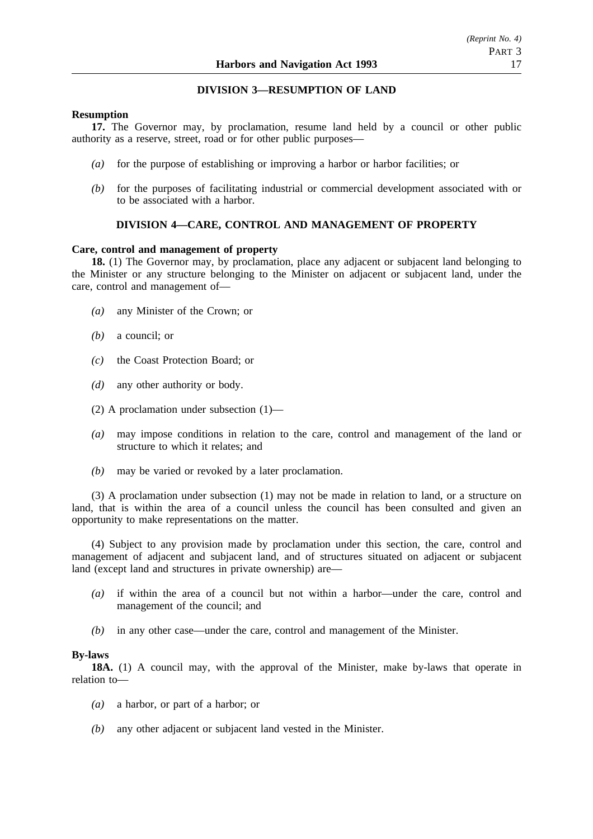# **DIVISION 3—RESUMPTION OF LAND**

# **Resumption**

**17.** The Governor may, by proclamation, resume land held by a council or other public authority as a reserve, street, road or for other public purposes—

- *(a)* for the purpose of establishing or improving a harbor or harbor facilities; or
- *(b)* for the purposes of facilitating industrial or commercial development associated with or to be associated with a harbor.

# **DIVISION 4—CARE, CONTROL AND MANAGEMENT OF PROPERTY**

### **Care, control and management of property**

**18.** (1) The Governor may, by proclamation, place any adjacent or subjacent land belonging to the Minister or any structure belonging to the Minister on adjacent or subjacent land, under the care, control and management of—

- *(a)* any Minister of the Crown; or
- *(b)* a council; or
- *(c)* the Coast Protection Board; or
- *(d)* any other authority or body.
- (2) A proclamation under subsection (1)—
- *(a)* may impose conditions in relation to the care, control and management of the land or structure to which it relates; and
- *(b)* may be varied or revoked by a later proclamation.

(3) A proclamation under subsection (1) may not be made in relation to land, or a structure on land, that is within the area of a council unless the council has been consulted and given an opportunity to make representations on the matter.

(4) Subject to any provision made by proclamation under this section, the care, control and management of adjacent and subjacent land, and of structures situated on adjacent or subjacent land (except land and structures in private ownership) are—

- *(a)* if within the area of a council but not within a harbor—under the care, control and management of the council; and
- *(b)* in any other case—under the care, control and management of the Minister.

### **By-laws**

**18A.** (1) A council may, with the approval of the Minister, make by-laws that operate in relation to—

- *(a)* a harbor, or part of a harbor; or
- *(b)* any other adjacent or subjacent land vested in the Minister.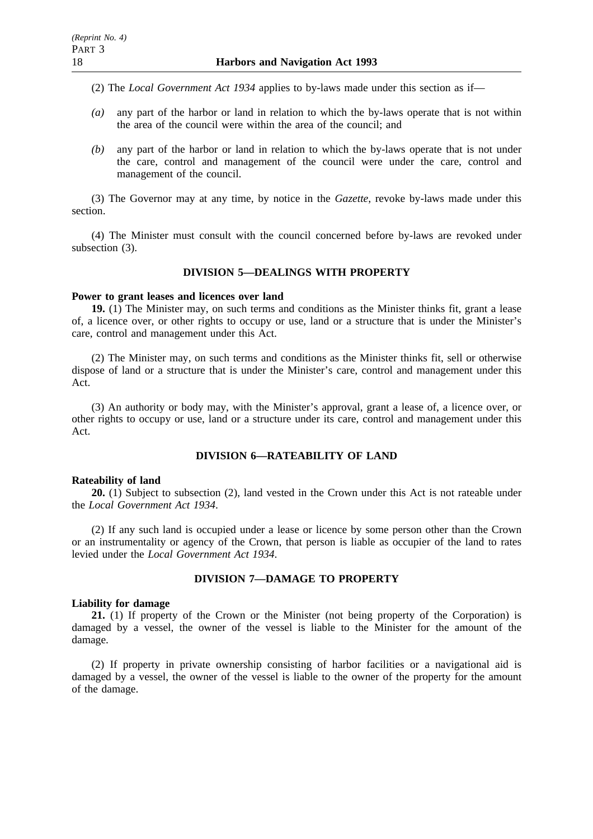- (2) The *Local Government Act 1934* applies to by-laws made under this section as if—
- *(a)* any part of the harbor or land in relation to which the by-laws operate that is not within the area of the council were within the area of the council; and
- *(b)* any part of the harbor or land in relation to which the by-laws operate that is not under the care, control and management of the council were under the care, control and management of the council.

(3) The Governor may at any time, by notice in the *Gazette*, revoke by-laws made under this section.

(4) The Minister must consult with the council concerned before by-laws are revoked under subsection (3).

### **DIVISION 5—DEALINGS WITH PROPERTY**

### **Power to grant leases and licences over land**

**19.** (1) The Minister may, on such terms and conditions as the Minister thinks fit, grant a lease of, a licence over, or other rights to occupy or use, land or a structure that is under the Minister's care, control and management under this Act.

(2) The Minister may, on such terms and conditions as the Minister thinks fit, sell or otherwise dispose of land or a structure that is under the Minister's care, control and management under this Act.

(3) An authority or body may, with the Minister's approval, grant a lease of, a licence over, or other rights to occupy or use, land or a structure under its care, control and management under this Act.

### **DIVISION 6—RATEABILITY OF LAND**

#### **Rateability of land**

**20.** (1) Subject to subsection (2), land vested in the Crown under this Act is not rateable under the *Local Government Act 1934*.

(2) If any such land is occupied under a lease or licence by some person other than the Crown or an instrumentality or agency of the Crown, that person is liable as occupier of the land to rates levied under the *Local Government Act 1934*.

### **DIVISION 7—DAMAGE TO PROPERTY**

#### **Liability for damage**

**21.** (1) If property of the Crown or the Minister (not being property of the Corporation) is damaged by a vessel, the owner of the vessel is liable to the Minister for the amount of the damage.

(2) If property in private ownership consisting of harbor facilities or a navigational aid is damaged by a vessel, the owner of the vessel is liable to the owner of the property for the amount of the damage.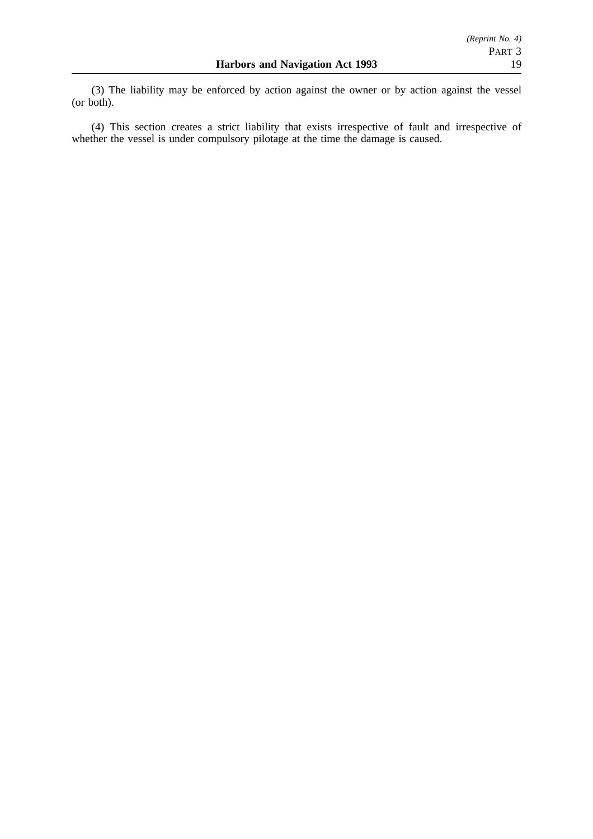(3) The liability may be enforced by action against the owner or by action against the vessel (or both).

(4) This section creates a strict liability that exists irrespective of fault and irrespective of whether the vessel is under compulsory pilotage at the time the damage is caused.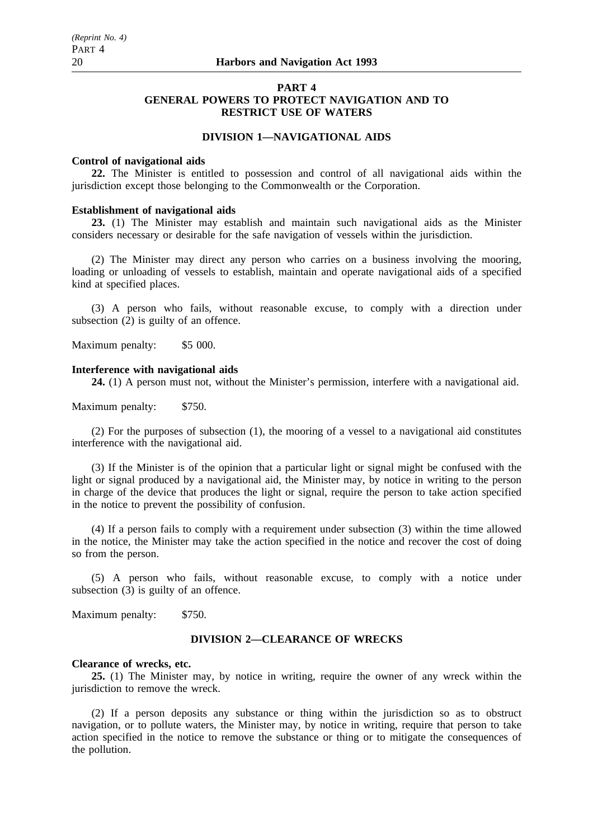# **PART 4 GENERAL POWERS TO PROTECT NAVIGATION AND TO RESTRICT USE OF WATERS**

# **DIVISION 1—NAVIGATIONAL AIDS**

#### **Control of navigational aids**

**22.** The Minister is entitled to possession and control of all navigational aids within the jurisdiction except those belonging to the Commonwealth or the Corporation.

### **Establishment of navigational aids**

**23.** (1) The Minister may establish and maintain such navigational aids as the Minister considers necessary or desirable for the safe navigation of vessels within the jurisdiction.

(2) The Minister may direct any person who carries on a business involving the mooring, loading or unloading of vessels to establish, maintain and operate navigational aids of a specified kind at specified places.

(3) A person who fails, without reasonable excuse, to comply with a direction under subsection  $(2)$  is guilty of an offence.

Maximum penalty: \$5 000.

# **Interference with navigational aids**

**24.** (1) A person must not, without the Minister's permission, interfere with a navigational aid.

Maximum penalty: \$750.

(2) For the purposes of subsection (1), the mooring of a vessel to a navigational aid constitutes interference with the navigational aid.

(3) If the Minister is of the opinion that a particular light or signal might be confused with the light or signal produced by a navigational aid, the Minister may, by notice in writing to the person in charge of the device that produces the light or signal, require the person to take action specified in the notice to prevent the possibility of confusion.

(4) If a person fails to comply with a requirement under subsection (3) within the time allowed in the notice, the Minister may take the action specified in the notice and recover the cost of doing so from the person.

(5) A person who fails, without reasonable excuse, to comply with a notice under subsection (3) is guilty of an offence.

Maximum penalty: \$750.

### **DIVISION 2—CLEARANCE OF WRECKS**

### **Clearance of wrecks, etc.**

**25.** (1) The Minister may, by notice in writing, require the owner of any wreck within the jurisdiction to remove the wreck.

(2) If a person deposits any substance or thing within the jurisdiction so as to obstruct navigation, or to pollute waters, the Minister may, by notice in writing, require that person to take action specified in the notice to remove the substance or thing or to mitigate the consequences of the pollution.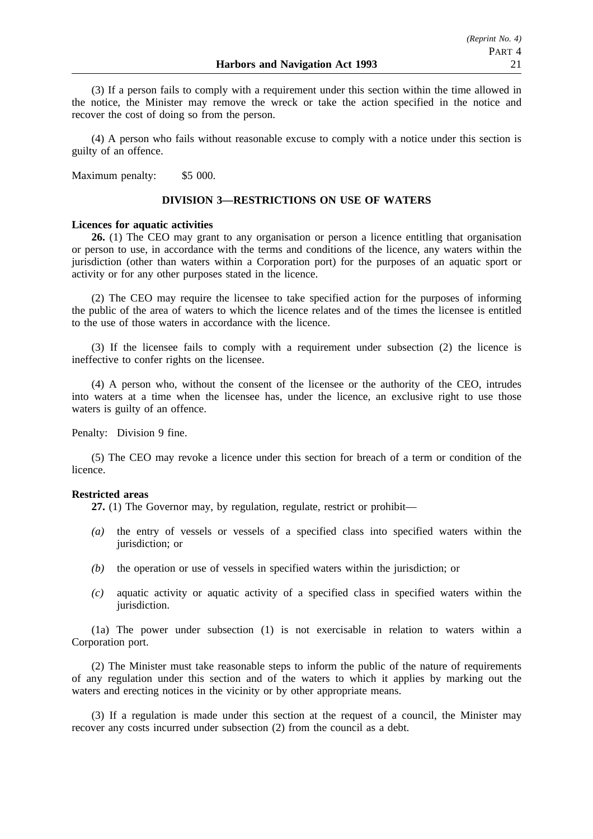(3) If a person fails to comply with a requirement under this section within the time allowed in the notice, the Minister may remove the wreck or take the action specified in the notice and recover the cost of doing so from the person.

(4) A person who fails without reasonable excuse to comply with a notice under this section is guilty of an offence.

Maximum penalty: \$5 000.

### **DIVISION 3—RESTRICTIONS ON USE OF WATERS**

### **Licences for aquatic activities**

**26.** (1) The CEO may grant to any organisation or person a licence entitling that organisation or person to use, in accordance with the terms and conditions of the licence, any waters within the jurisdiction (other than waters within a Corporation port) for the purposes of an aquatic sport or activity or for any other purposes stated in the licence.

(2) The CEO may require the licensee to take specified action for the purposes of informing the public of the area of waters to which the licence relates and of the times the licensee is entitled to the use of those waters in accordance with the licence.

(3) If the licensee fails to comply with a requirement under subsection (2) the licence is ineffective to confer rights on the licensee.

(4) A person who, without the consent of the licensee or the authority of the CEO, intrudes into waters at a time when the licensee has, under the licence, an exclusive right to use those waters is guilty of an offence.

Penalty: Division 9 fine.

(5) The CEO may revoke a licence under this section for breach of a term or condition of the licence.

#### **Restricted areas**

**27.** (1) The Governor may, by regulation, regulate, restrict or prohibit—

- *(a)* the entry of vessels or vessels of a specified class into specified waters within the jurisdiction; or
- *(b)* the operation or use of vessels in specified waters within the jurisdiction; or
- *(c)* aquatic activity or aquatic activity of a specified class in specified waters within the jurisdiction.

(1a) The power under subsection (1) is not exercisable in relation to waters within a Corporation port.

(2) The Minister must take reasonable steps to inform the public of the nature of requirements of any regulation under this section and of the waters to which it applies by marking out the waters and erecting notices in the vicinity or by other appropriate means.

(3) If a regulation is made under this section at the request of a council, the Minister may recover any costs incurred under subsection (2) from the council as a debt.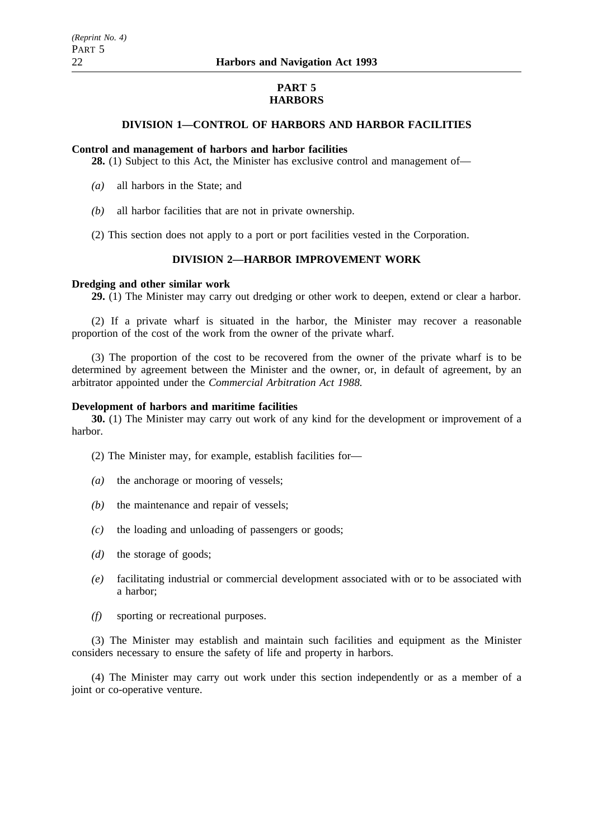# **PART 5 HARBORS**

# **DIVISION 1—CONTROL OF HARBORS AND HARBOR FACILITIES**

### **Control and management of harbors and harbor facilities**

**28.** (1) Subject to this Act, the Minister has exclusive control and management of—

- *(a)* all harbors in the State; and
- *(b)* all harbor facilities that are not in private ownership.
- (2) This section does not apply to a port or port facilities vested in the Corporation.

# **DIVISION 2—HARBOR IMPROVEMENT WORK**

#### **Dredging and other similar work**

**29.** (1) The Minister may carry out dredging or other work to deepen, extend or clear a harbor.

(2) If a private wharf is situated in the harbor, the Minister may recover a reasonable proportion of the cost of the work from the owner of the private wharf.

(3) The proportion of the cost to be recovered from the owner of the private wharf is to be determined by agreement between the Minister and the owner, or, in default of agreement, by an arbitrator appointed under the *Commercial Arbitration Act 1988.*

### **Development of harbors and maritime facilities**

**30.** (1) The Minister may carry out work of any kind for the development or improvement of a harbor.

(2) The Minister may, for example, establish facilities for—

- *(a)* the anchorage or mooring of vessels;
- *(b)* the maintenance and repair of vessels;
- *(c)* the loading and unloading of passengers or goods;
- *(d)* the storage of goods;
- *(e)* facilitating industrial or commercial development associated with or to be associated with a harbor;
- *(f)* sporting or recreational purposes.

(3) The Minister may establish and maintain such facilities and equipment as the Minister considers necessary to ensure the safety of life and property in harbors.

(4) The Minister may carry out work under this section independently or as a member of a joint or co-operative venture.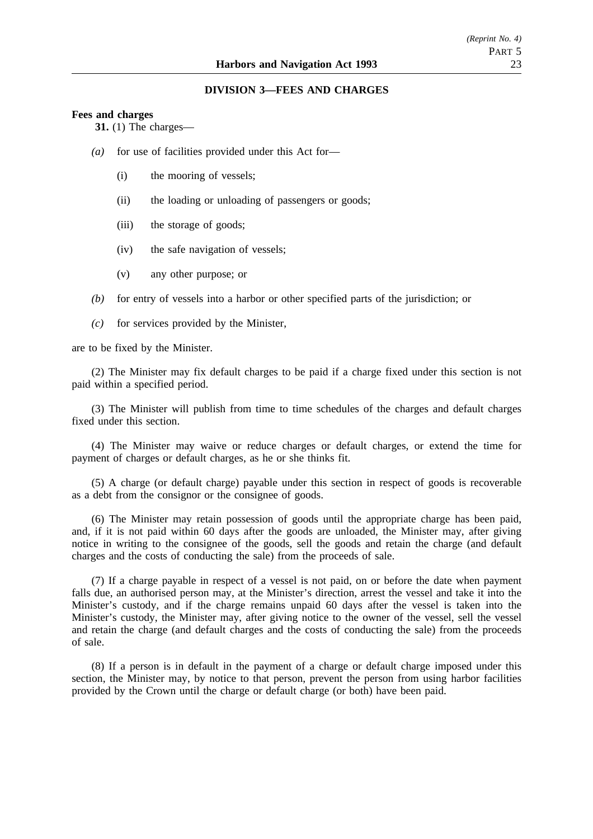### **DIVISION 3—FEES AND CHARGES**

#### **Fees and charges**

**31.** (1) The charges—

- *(a)* for use of facilities provided under this Act for—
	- (i) the mooring of vessels;
	- (ii) the loading or unloading of passengers or goods;
	- (iii) the storage of goods;
	- (iv) the safe navigation of vessels;
	- (v) any other purpose; or
- *(b)* for entry of vessels into a harbor or other specified parts of the jurisdiction; or
- *(c)* for services provided by the Minister,

are to be fixed by the Minister.

(2) The Minister may fix default charges to be paid if a charge fixed under this section is not paid within a specified period.

(3) The Minister will publish from time to time schedules of the charges and default charges fixed under this section.

(4) The Minister may waive or reduce charges or default charges, or extend the time for payment of charges or default charges, as he or she thinks fit.

(5) A charge (or default charge) payable under this section in respect of goods is recoverable as a debt from the consignor or the consignee of goods.

(6) The Minister may retain possession of goods until the appropriate charge has been paid, and, if it is not paid within 60 days after the goods are unloaded, the Minister may, after giving notice in writing to the consignee of the goods, sell the goods and retain the charge (and default charges and the costs of conducting the sale) from the proceeds of sale.

(7) If a charge payable in respect of a vessel is not paid, on or before the date when payment falls due, an authorised person may, at the Minister's direction, arrest the vessel and take it into the Minister's custody, and if the charge remains unpaid 60 days after the vessel is taken into the Minister's custody, the Minister may, after giving notice to the owner of the vessel, sell the vessel and retain the charge (and default charges and the costs of conducting the sale) from the proceeds of sale.

(8) If a person is in default in the payment of a charge or default charge imposed under this section, the Minister may, by notice to that person, prevent the person from using harbor facilities provided by the Crown until the charge or default charge (or both) have been paid.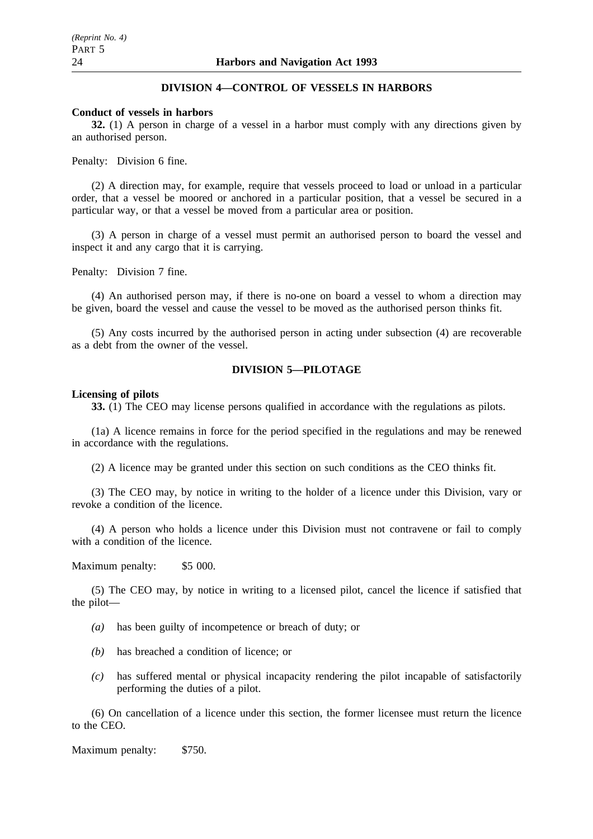# **DIVISION 4—CONTROL OF VESSELS IN HARBORS**

#### **Conduct of vessels in harbors**

**32.** (1) A person in charge of a vessel in a harbor must comply with any directions given by an authorised person.

Penalty: Division 6 fine.

(2) A direction may, for example, require that vessels proceed to load or unload in a particular order, that a vessel be moored or anchored in a particular position, that a vessel be secured in a particular way, or that a vessel be moved from a particular area or position.

(3) A person in charge of a vessel must permit an authorised person to board the vessel and inspect it and any cargo that it is carrying.

Penalty: Division 7 fine.

(4) An authorised person may, if there is no-one on board a vessel to whom a direction may be given, board the vessel and cause the vessel to be moved as the authorised person thinks fit.

(5) Any costs incurred by the authorised person in acting under subsection (4) are recoverable as a debt from the owner of the vessel.

# **DIVISION 5—PILOTAGE**

#### **Licensing of pilots**

**33.** (1) The CEO may license persons qualified in accordance with the regulations as pilots.

(1a) A licence remains in force for the period specified in the regulations and may be renewed in accordance with the regulations.

(2) A licence may be granted under this section on such conditions as the CEO thinks fit.

(3) The CEO may, by notice in writing to the holder of a licence under this Division, vary or revoke a condition of the licence.

(4) A person who holds a licence under this Division must not contravene or fail to comply with a condition of the licence.

Maximum penalty: \$5 000.

(5) The CEO may, by notice in writing to a licensed pilot, cancel the licence if satisfied that the pilot—

- *(a)* has been guilty of incompetence or breach of duty; or
- *(b)* has breached a condition of licence; or
- *(c)* has suffered mental or physical incapacity rendering the pilot incapable of satisfactorily performing the duties of a pilot.

(6) On cancellation of a licence under this section, the former licensee must return the licence to the CEO.

Maximum penalty: \$750.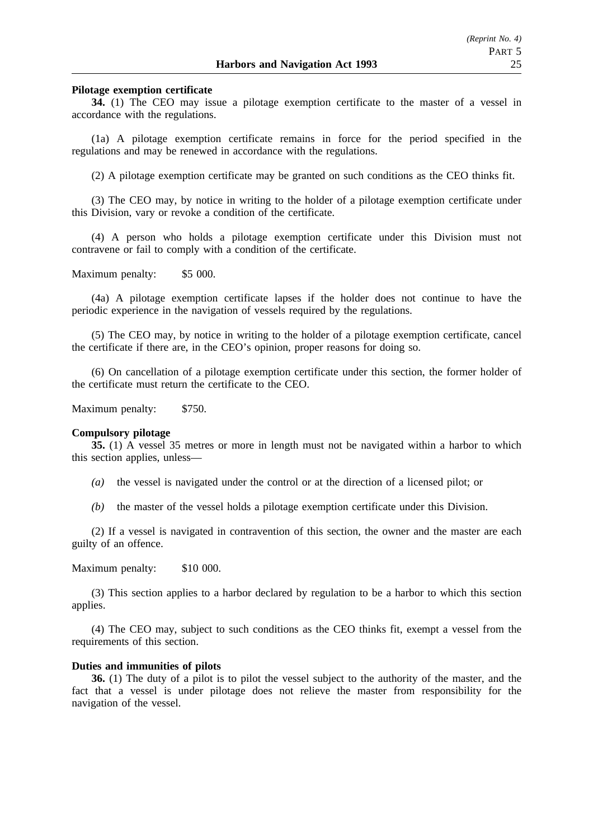### **Pilotage exemption certificate**

**34.** (1) The CEO may issue a pilotage exemption certificate to the master of a vessel in accordance with the regulations.

(1a) A pilotage exemption certificate remains in force for the period specified in the regulations and may be renewed in accordance with the regulations.

(2) A pilotage exemption certificate may be granted on such conditions as the CEO thinks fit.

(3) The CEO may, by notice in writing to the holder of a pilotage exemption certificate under this Division, vary or revoke a condition of the certificate.

(4) A person who holds a pilotage exemption certificate under this Division must not contravene or fail to comply with a condition of the certificate.

Maximum penalty: \$5 000.

(4a) A pilotage exemption certificate lapses if the holder does not continue to have the periodic experience in the navigation of vessels required by the regulations.

(5) The CEO may, by notice in writing to the holder of a pilotage exemption certificate, cancel the certificate if there are, in the CEO's opinion, proper reasons for doing so.

(6) On cancellation of a pilotage exemption certificate under this section, the former holder of the certificate must return the certificate to the CEO.

Maximum penalty: \$750.

#### **Compulsory pilotage**

**35.** (1) A vessel 35 metres or more in length must not be navigated within a harbor to which this section applies, unless—

- *(a)* the vessel is navigated under the control or at the direction of a licensed pilot; or
- *(b)* the master of the vessel holds a pilotage exemption certificate under this Division.

(2) If a vessel is navigated in contravention of this section, the owner and the master are each guilty of an offence.

Maximum penalty: \$10 000.

(3) This section applies to a harbor declared by regulation to be a harbor to which this section applies.

(4) The CEO may, subject to such conditions as the CEO thinks fit, exempt a vessel from the requirements of this section.

#### **Duties and immunities of pilots**

**36.** (1) The duty of a pilot is to pilot the vessel subject to the authority of the master, and the fact that a vessel is under pilotage does not relieve the master from responsibility for the navigation of the vessel.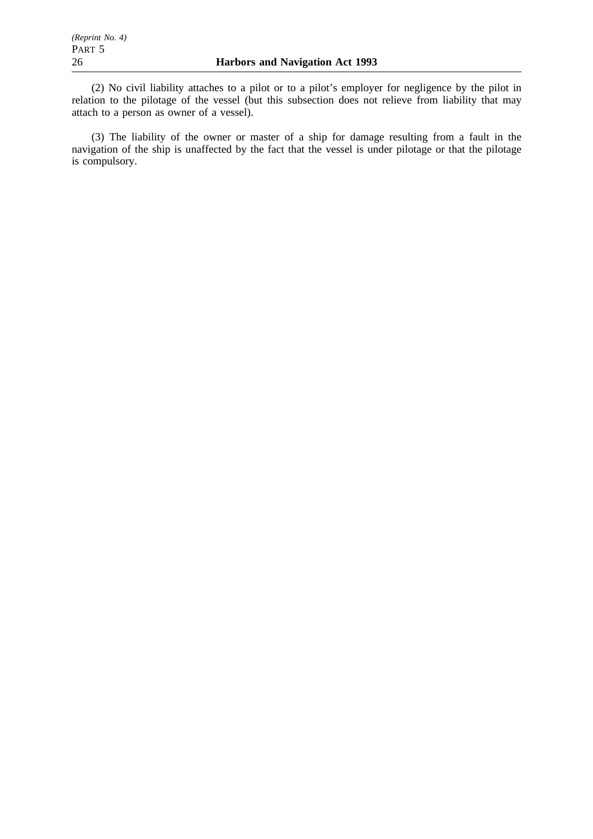(2) No civil liability attaches to a pilot or to a pilot's employer for negligence by the pilot in relation to the pilotage of the vessel (but this subsection does not relieve from liability that may attach to a person as owner of a vessel).

(3) The liability of the owner or master of a ship for damage resulting from a fault in the navigation of the ship is unaffected by the fact that the vessel is under pilotage or that the pilotage is compulsory.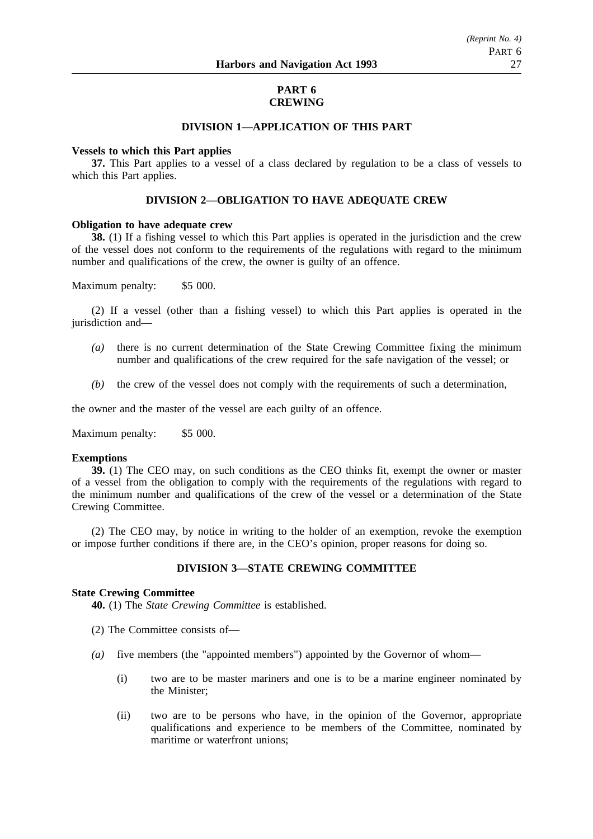### **PART 6 CREWING**

### **DIVISION 1—APPLICATION OF THIS PART**

### **Vessels to which this Part applies**

**37.** This Part applies to a vessel of a class declared by regulation to be a class of vessels to which this Part applies.

### **DIVISION 2—OBLIGATION TO HAVE ADEQUATE CREW**

### **Obligation to have adequate crew**

**38.** (1) If a fishing vessel to which this Part applies is operated in the jurisdiction and the crew of the vessel does not conform to the requirements of the regulations with regard to the minimum number and qualifications of the crew, the owner is guilty of an offence.

Maximum penalty: \$5 000.

(2) If a vessel (other than a fishing vessel) to which this Part applies is operated in the jurisdiction and—

- *(a)* there is no current determination of the State Crewing Committee fixing the minimum number and qualifications of the crew required for the safe navigation of the vessel; or
- *(b)* the crew of the vessel does not comply with the requirements of such a determination,

the owner and the master of the vessel are each guilty of an offence.

Maximum penalty: \$5 000.

### **Exemptions**

**39.** (1) The CEO may, on such conditions as the CEO thinks fit, exempt the owner or master of a vessel from the obligation to comply with the requirements of the regulations with regard to the minimum number and qualifications of the crew of the vessel or a determination of the State Crewing Committee.

(2) The CEO may, by notice in writing to the holder of an exemption, revoke the exemption or impose further conditions if there are, in the CEO's opinion, proper reasons for doing so.

### **DIVISION 3—STATE CREWING COMMITTEE**

### **State Crewing Committee**

**40.** (1) The *State Crewing Committee* is established.

- (2) The Committee consists of—
- *(a)* five members (the "appointed members") appointed by the Governor of whom—
	- (i) two are to be master mariners and one is to be a marine engineer nominated by the Minister;
	- (ii) two are to be persons who have, in the opinion of the Governor, appropriate qualifications and experience to be members of the Committee, nominated by maritime or waterfront unions;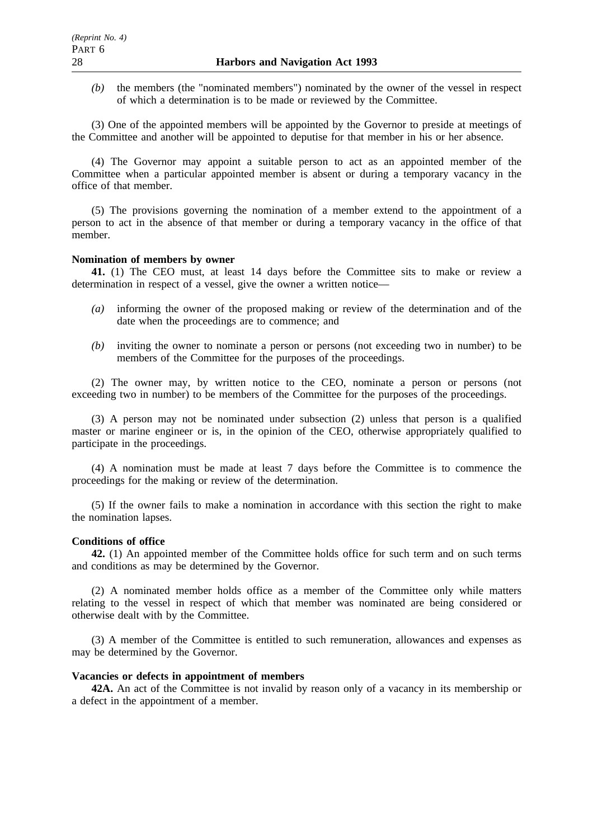*(b)* the members (the "nominated members") nominated by the owner of the vessel in respect of which a determination is to be made or reviewed by the Committee.

(3) One of the appointed members will be appointed by the Governor to preside at meetings of the Committee and another will be appointed to deputise for that member in his or her absence.

(4) The Governor may appoint a suitable person to act as an appointed member of the Committee when a particular appointed member is absent or during a temporary vacancy in the office of that member.

(5) The provisions governing the nomination of a member extend to the appointment of a person to act in the absence of that member or during a temporary vacancy in the office of that member.

### **Nomination of members by owner**

**41.** (1) The CEO must, at least 14 days before the Committee sits to make or review a determination in respect of a vessel, give the owner a written notice—

- *(a)* informing the owner of the proposed making or review of the determination and of the date when the proceedings are to commence; and
- *(b)* inviting the owner to nominate a person or persons (not exceeding two in number) to be members of the Committee for the purposes of the proceedings.

(2) The owner may, by written notice to the CEO, nominate a person or persons (not exceeding two in number) to be members of the Committee for the purposes of the proceedings.

(3) A person may not be nominated under subsection (2) unless that person is a qualified master or marine engineer or is, in the opinion of the CEO, otherwise appropriately qualified to participate in the proceedings.

(4) A nomination must be made at least 7 days before the Committee is to commence the proceedings for the making or review of the determination.

(5) If the owner fails to make a nomination in accordance with this section the right to make the nomination lapses.

#### **Conditions of office**

**42.** (1) An appointed member of the Committee holds office for such term and on such terms and conditions as may be determined by the Governor.

(2) A nominated member holds office as a member of the Committee only while matters relating to the vessel in respect of which that member was nominated are being considered or otherwise dealt with by the Committee.

(3) A member of the Committee is entitled to such remuneration, allowances and expenses as may be determined by the Governor.

### **Vacancies or defects in appointment of members**

**42A.** An act of the Committee is not invalid by reason only of a vacancy in its membership or a defect in the appointment of a member.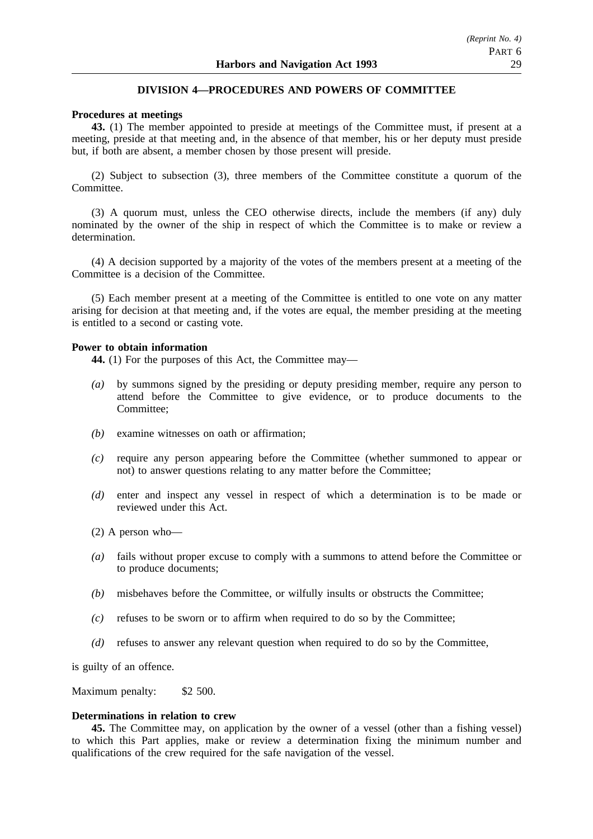# **DIVISION 4—PROCEDURES AND POWERS OF COMMITTEE**

### **Procedures at meetings**

**43.** (1) The member appointed to preside at meetings of the Committee must, if present at a meeting, preside at that meeting and, in the absence of that member, his or her deputy must preside but, if both are absent, a member chosen by those present will preside.

(2) Subject to subsection (3), three members of the Committee constitute a quorum of the Committee.

(3) A quorum must, unless the CEO otherwise directs, include the members (if any) duly nominated by the owner of the ship in respect of which the Committee is to make or review a determination.

(4) A decision supported by a majority of the votes of the members present at a meeting of the Committee is a decision of the Committee.

(5) Each member present at a meeting of the Committee is entitled to one vote on any matter arising for decision at that meeting and, if the votes are equal, the member presiding at the meeting is entitled to a second or casting vote.

### **Power to obtain information**

**44.** (1) For the purposes of this Act, the Committee may—

- *(a)* by summons signed by the presiding or deputy presiding member, require any person to attend before the Committee to give evidence, or to produce documents to the Committee;
- *(b)* examine witnesses on oath or affirmation;
- *(c)* require any person appearing before the Committee (whether summoned to appear or not) to answer questions relating to any matter before the Committee;
- *(d)* enter and inspect any vessel in respect of which a determination is to be made or reviewed under this Act.

(2) A person who—

- *(a)* fails without proper excuse to comply with a summons to attend before the Committee or to produce documents;
- *(b)* misbehaves before the Committee, or wilfully insults or obstructs the Committee;
- *(c)* refuses to be sworn or to affirm when required to do so by the Committee;
- *(d)* refuses to answer any relevant question when required to do so by the Committee,

is guilty of an offence.

Maximum penalty: \$2 500.

### **Determinations in relation to crew**

**45.** The Committee may, on application by the owner of a vessel (other than a fishing vessel) to which this Part applies, make or review a determination fixing the minimum number and qualifications of the crew required for the safe navigation of the vessel.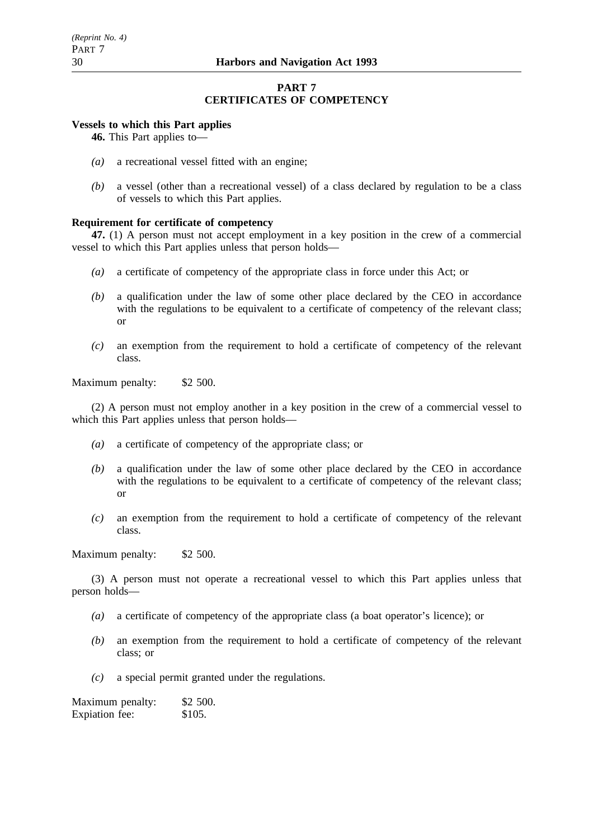# **PART 7 CERTIFICATES OF COMPETENCY**

# **Vessels to which this Part applies**

**46.** This Part applies to—

- *(a)* a recreational vessel fitted with an engine;
- *(b)* a vessel (other than a recreational vessel) of a class declared by regulation to be a class of vessels to which this Part applies.

### **Requirement for certificate of competency**

**47.** (1) A person must not accept employment in a key position in the crew of a commercial vessel to which this Part applies unless that person holds—

- *(a)* a certificate of competency of the appropriate class in force under this Act; or
- *(b)* a qualification under the law of some other place declared by the CEO in accordance with the regulations to be equivalent to a certificate of competency of the relevant class; or
- *(c)* an exemption from the requirement to hold a certificate of competency of the relevant class.

Maximum penalty: \$2 500.

(2) A person must not employ another in a key position in the crew of a commercial vessel to which this Part applies unless that person holds—

- *(a)* a certificate of competency of the appropriate class; or
- *(b)* a qualification under the law of some other place declared by the CEO in accordance with the regulations to be equivalent to a certificate of competency of the relevant class; or
- *(c)* an exemption from the requirement to hold a certificate of competency of the relevant class.

Maximum penalty: \$2 500.

(3) A person must not operate a recreational vessel to which this Part applies unless that person holds—

- *(a)* a certificate of competency of the appropriate class (a boat operator's licence); or
- *(b)* an exemption from the requirement to hold a certificate of competency of the relevant class; or
- *(c)* a special permit granted under the regulations.

| Maximum penalty: | \$2 500. |
|------------------|----------|
| Expiation fee:   | \$105.   |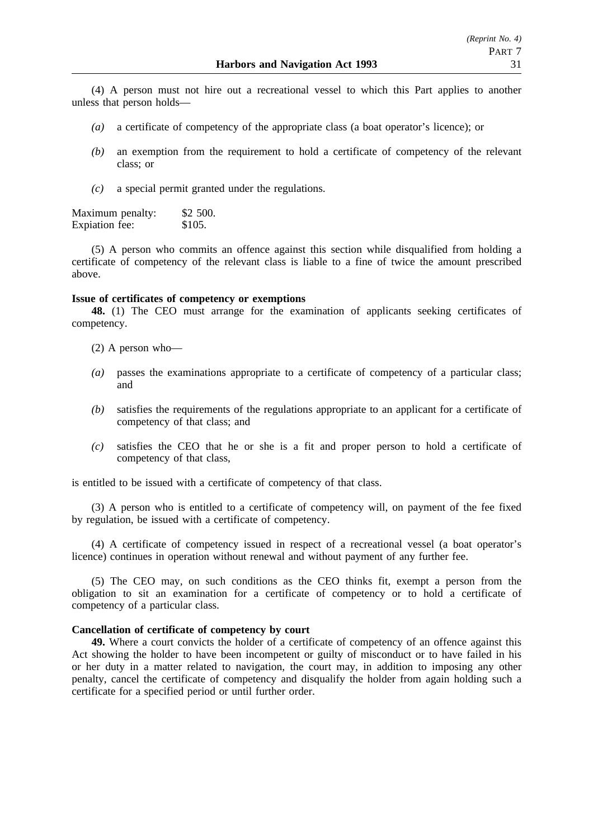(4) A person must not hire out a recreational vessel to which this Part applies to another unless that person holds—

- *(a)* a certificate of competency of the appropriate class (a boat operator's licence); or
- *(b)* an exemption from the requirement to hold a certificate of competency of the relevant class; or
- *(c)* a special permit granted under the regulations.

Maximum penalty: \$2 500.<br>Expiation fee: \$105. Expiation fee:

(5) A person who commits an offence against this section while disqualified from holding a certificate of competency of the relevant class is liable to a fine of twice the amount prescribed above.

### **Issue of certificates of competency or exemptions**

**48.** (1) The CEO must arrange for the examination of applicants seeking certificates of competency.

- (2) A person who—
- *(a)* passes the examinations appropriate to a certificate of competency of a particular class; and
- *(b)* satisfies the requirements of the regulations appropriate to an applicant for a certificate of competency of that class; and
- *(c)* satisfies the CEO that he or she is a fit and proper person to hold a certificate of competency of that class,

is entitled to be issued with a certificate of competency of that class.

(3) A person who is entitled to a certificate of competency will, on payment of the fee fixed by regulation, be issued with a certificate of competency.

(4) A certificate of competency issued in respect of a recreational vessel (a boat operator's licence) continues in operation without renewal and without payment of any further fee.

(5) The CEO may, on such conditions as the CEO thinks fit, exempt a person from the obligation to sit an examination for a certificate of competency or to hold a certificate of competency of a particular class.

### **Cancellation of certificate of competency by court**

**49.** Where a court convicts the holder of a certificate of competency of an offence against this Act showing the holder to have been incompetent or guilty of misconduct or to have failed in his or her duty in a matter related to navigation, the court may, in addition to imposing any other penalty, cancel the certificate of competency and disqualify the holder from again holding such a certificate for a specified period or until further order.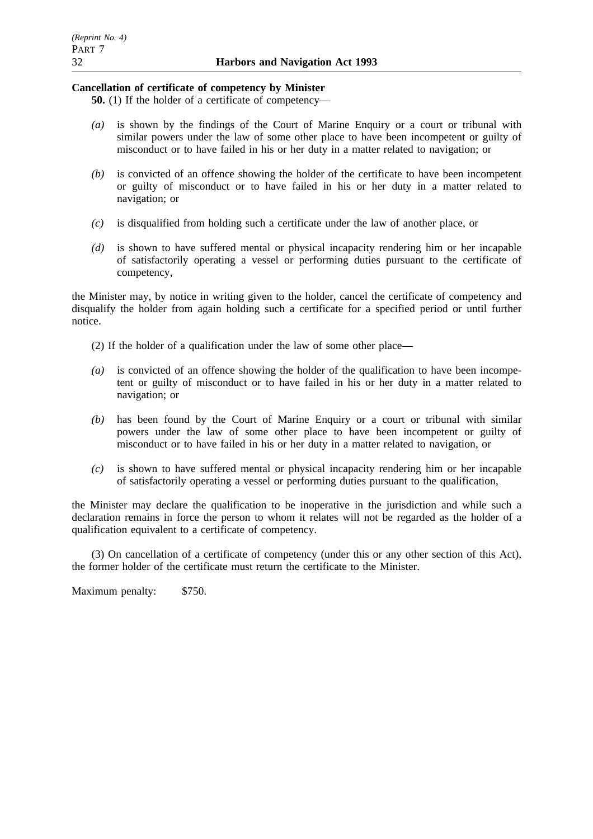# **Cancellation of certificate of competency by Minister**

**50.** (1) If the holder of a certificate of competency—

- *(a)* is shown by the findings of the Court of Marine Enquiry or a court or tribunal with similar powers under the law of some other place to have been incompetent or guilty of misconduct or to have failed in his or her duty in a matter related to navigation; or
- *(b)* is convicted of an offence showing the holder of the certificate to have been incompetent or guilty of misconduct or to have failed in his or her duty in a matter related to navigation; or
- *(c)* is disqualified from holding such a certificate under the law of another place, or
- *(d)* is shown to have suffered mental or physical incapacity rendering him or her incapable of satisfactorily operating a vessel or performing duties pursuant to the certificate of competency,

the Minister may, by notice in writing given to the holder, cancel the certificate of competency and disqualify the holder from again holding such a certificate for a specified period or until further notice.

- (2) If the holder of a qualification under the law of some other place—
- *(a)* is convicted of an offence showing the holder of the qualification to have been incompetent or guilty of misconduct or to have failed in his or her duty in a matter related to navigation; or
- *(b)* has been found by the Court of Marine Enquiry or a court or tribunal with similar powers under the law of some other place to have been incompetent or guilty of misconduct or to have failed in his or her duty in a matter related to navigation, or
- *(c)* is shown to have suffered mental or physical incapacity rendering him or her incapable of satisfactorily operating a vessel or performing duties pursuant to the qualification,

the Minister may declare the qualification to be inoperative in the jurisdiction and while such a declaration remains in force the person to whom it relates will not be regarded as the holder of a qualification equivalent to a certificate of competency.

(3) On cancellation of a certificate of competency (under this or any other section of this Act), the former holder of the certificate must return the certificate to the Minister.

Maximum penalty: \$750.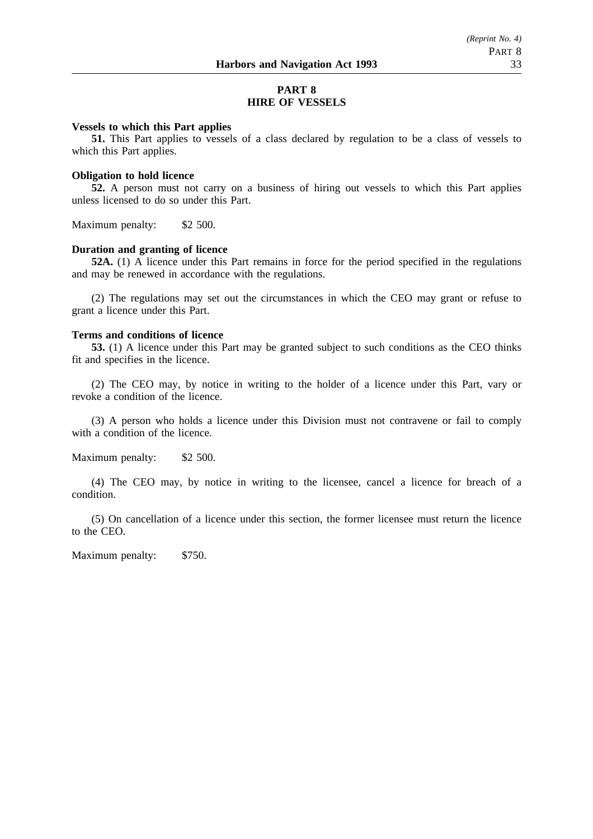# **PART 8 HIRE OF VESSELS**

#### **Vessels to which this Part applies**

**51.** This Part applies to vessels of a class declared by regulation to be a class of vessels to which this Part applies.

#### **Obligation to hold licence**

**52.** A person must not carry on a business of hiring out vessels to which this Part applies unless licensed to do so under this Part.

Maximum penalty: \$2 500.

### **Duration and granting of licence**

**52A.** (1) A licence under this Part remains in force for the period specified in the regulations and may be renewed in accordance with the regulations.

(2) The regulations may set out the circumstances in which the CEO may grant or refuse to grant a licence under this Part.

### **Terms and conditions of licence**

**53.** (1) A licence under this Part may be granted subject to such conditions as the CEO thinks fit and specifies in the licence.

(2) The CEO may, by notice in writing to the holder of a licence under this Part, vary or revoke a condition of the licence.

(3) A person who holds a licence under this Division must not contravene or fail to comply with a condition of the licence.

Maximum penalty: \$2 500.

(4) The CEO may, by notice in writing to the licensee, cancel a licence for breach of a condition.

(5) On cancellation of a licence under this section, the former licensee must return the licence to the CEO.

Maximum penalty: \$750.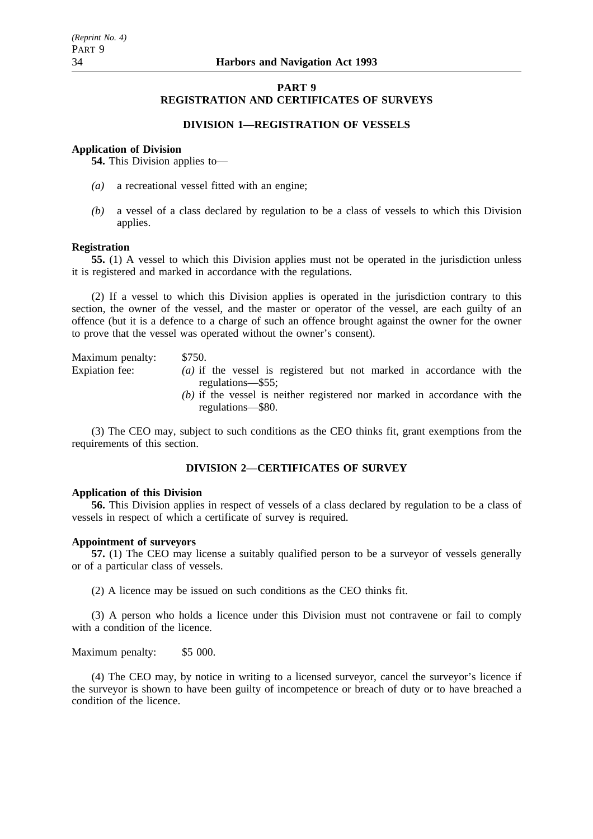### **PART 9 REGISTRATION AND CERTIFICATES OF SURVEYS**

# **DIVISION 1—REGISTRATION OF VESSELS**

# **Application of Division**

**54.** This Division applies to—

- *(a)* a recreational vessel fitted with an engine;
- *(b)* a vessel of a class declared by regulation to be a class of vessels to which this Division applies.

### **Registration**

**55.** (1) A vessel to which this Division applies must not be operated in the jurisdiction unless it is registered and marked in accordance with the regulations.

(2) If a vessel to which this Division applies is operated in the jurisdiction contrary to this section, the owner of the vessel, and the master or operator of the vessel, are each guilty of an offence (but it is a defence to a charge of such an offence brought against the owner for the owner to prove that the vessel was operated without the owner's consent).

Maximum penalty: \$750. Expiation fee: *(a)* if the vessel is registered but not marked in accordance with the regulations—\$55; *(b)* if the vessel is neither registered nor marked in accordance with the regulations—\$80.

(3) The CEO may, subject to such conditions as the CEO thinks fit, grant exemptions from the requirements of this section.

# **DIVISION 2—CERTIFICATES OF SURVEY**

### **Application of this Division**

**56.** This Division applies in respect of vessels of a class declared by regulation to be a class of vessels in respect of which a certificate of survey is required.

### **Appointment of surveyors**

**57.** (1) The CEO may license a suitably qualified person to be a surveyor of vessels generally or of a particular class of vessels.

(2) A licence may be issued on such conditions as the CEO thinks fit.

(3) A person who holds a licence under this Division must not contravene or fail to comply with a condition of the licence.

Maximum penalty: \$5 000.

(4) The CEO may, by notice in writing to a licensed surveyor, cancel the surveyor's licence if the surveyor is shown to have been guilty of incompetence or breach of duty or to have breached a condition of the licence.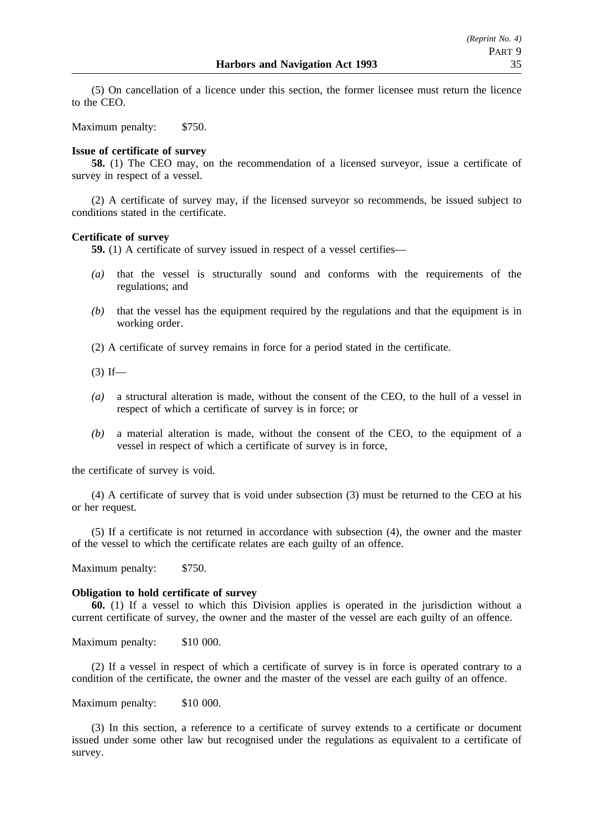(5) On cancellation of a licence under this section, the former licensee must return the licence to the CEO.

Maximum penalty: \$750.

### **Issue of certificate of survey**

**58.** (1) The CEO may, on the recommendation of a licensed surveyor, issue a certificate of survey in respect of a vessel.

(2) A certificate of survey may, if the licensed surveyor so recommends, be issued subject to conditions stated in the certificate.

### **Certificate of survey**

**59.** (1) A certificate of survey issued in respect of a vessel certifies—

- *(a)* that the vessel is structurally sound and conforms with the requirements of the regulations; and
- *(b)* that the vessel has the equipment required by the regulations and that the equipment is in working order.
- (2) A certificate of survey remains in force for a period stated in the certificate.

 $(3)$  If—

- *(a)* a structural alteration is made, without the consent of the CEO, to the hull of a vessel in respect of which a certificate of survey is in force; or
- *(b)* a material alteration is made, without the consent of the CEO, to the equipment of a vessel in respect of which a certificate of survey is in force,

the certificate of survey is void.

(4) A certificate of survey that is void under subsection (3) must be returned to the CEO at his or her request.

(5) If a certificate is not returned in accordance with subsection (4), the owner and the master of the vessel to which the certificate relates are each guilty of an offence.

Maximum penalty: \$750.

### **Obligation to hold certificate of survey**

**60.** (1) If a vessel to which this Division applies is operated in the jurisdiction without a current certificate of survey, the owner and the master of the vessel are each guilty of an offence.

Maximum penalty: \$10 000.

(2) If a vessel in respect of which a certificate of survey is in force is operated contrary to a condition of the certificate, the owner and the master of the vessel are each guilty of an offence.

Maximum penalty: \$10 000.

(3) In this section, a reference to a certificate of survey extends to a certificate or document issued under some other law but recognised under the regulations as equivalent to a certificate of survey.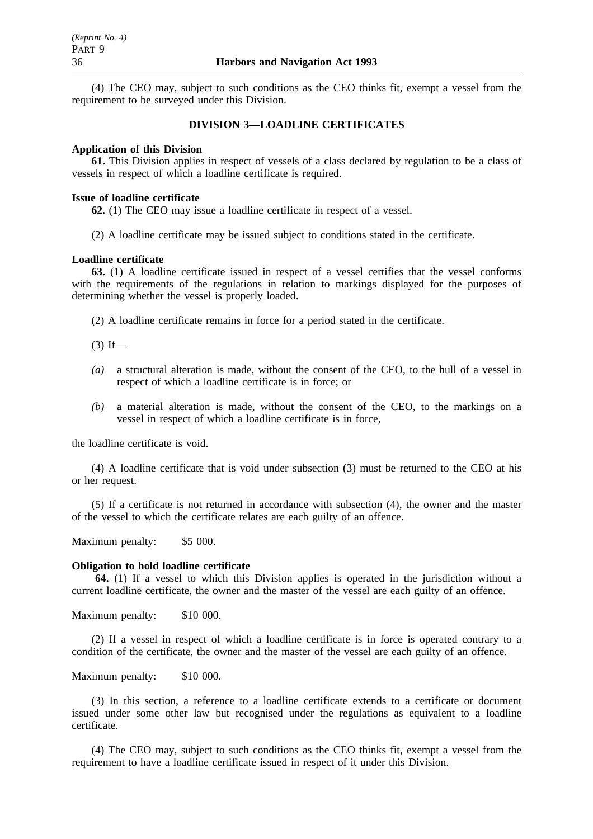(4) The CEO may, subject to such conditions as the CEO thinks fit, exempt a vessel from the requirement to be surveyed under this Division.

### **DIVISION 3—LOADLINE CERTIFICATES**

### **Application of this Division**

**61.** This Division applies in respect of vessels of a class declared by regulation to be a class of vessels in respect of which a loadline certificate is required.

### **Issue of loadline certificate**

**62.** (1) The CEO may issue a loadline certificate in respect of a vessel.

(2) A loadline certificate may be issued subject to conditions stated in the certificate.

### **Loadline certificate**

**63.** (1) A loadline certificate issued in respect of a vessel certifies that the vessel conforms with the requirements of the regulations in relation to markings displayed for the purposes of determining whether the vessel is properly loaded.

(2) A loadline certificate remains in force for a period stated in the certificate.

 $(3)$  If—

- *(a)* a structural alteration is made, without the consent of the CEO, to the hull of a vessel in respect of which a loadline certificate is in force; or
- *(b)* a material alteration is made, without the consent of the CEO, to the markings on a vessel in respect of which a loadline certificate is in force,

the loadline certificate is void.

(4) A loadline certificate that is void under subsection (3) must be returned to the CEO at his or her request.

(5) If a certificate is not returned in accordance with subsection (4), the owner and the master of the vessel to which the certificate relates are each guilty of an offence.

Maximum penalty: \$5 000.

### **Obligation to hold loadline certificate**

**64.** (1) If a vessel to which this Division applies is operated in the jurisdiction without a current loadline certificate, the owner and the master of the vessel are each guilty of an offence.

Maximum penalty: \$10 000.

(2) If a vessel in respect of which a loadline certificate is in force is operated contrary to a condition of the certificate, the owner and the master of the vessel are each guilty of an offence.

### Maximum penalty: \$10 000.

(3) In this section, a reference to a loadline certificate extends to a certificate or document issued under some other law but recognised under the regulations as equivalent to a loadline certificate.

(4) The CEO may, subject to such conditions as the CEO thinks fit, exempt a vessel from the requirement to have a loadline certificate issued in respect of it under this Division.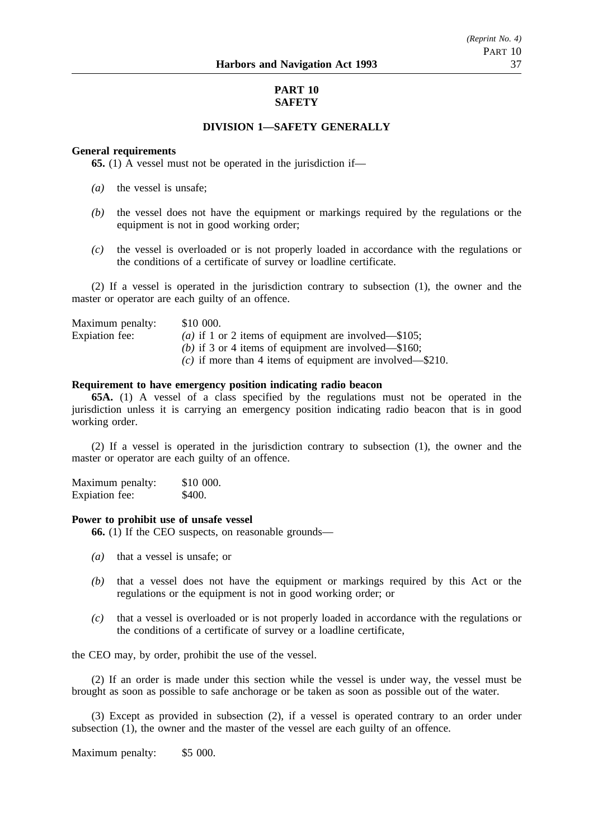# **PART 10 SAFETY**

# **DIVISION 1—SAFETY GENERALLY**

### **General requirements**

**65.** (1) A vessel must not be operated in the jurisdiction if—

- *(a)* the vessel is unsafe;
- *(b)* the vessel does not have the equipment or markings required by the regulations or the equipment is not in good working order;
- *(c)* the vessel is overloaded or is not properly loaded in accordance with the regulations or the conditions of a certificate of survey or loadline certificate.

(2) If a vessel is operated in the jurisdiction contrary to subsection (1), the owner and the master or operator are each guilty of an offence.

| Maximum penalty: | \$10 000.                                                     |
|------------------|---------------------------------------------------------------|
| Expiation fee:   | ( <i>a</i> ) if 1 or 2 items of equipment are involved—\$105; |
|                  | (b) if 3 or 4 items of equipment are involved—\$160;          |
|                  | (c) if more than 4 items of equipment are involved—\$210.     |

### **Requirement to have emergency position indicating radio beacon**

**65A.** (1) A vessel of a class specified by the regulations must not be operated in the jurisdiction unless it is carrying an emergency position indicating radio beacon that is in good working order.

(2) If a vessel is operated in the jurisdiction contrary to subsection (1), the owner and the master or operator are each guilty of an offence.

Maximum penalty: \$10 000. Expiation fee: \$400.

### **Power to prohibit use of unsafe vessel**

**66.** (1) If the CEO suspects, on reasonable grounds—

- *(a)* that a vessel is unsafe; or
- *(b)* that a vessel does not have the equipment or markings required by this Act or the regulations or the equipment is not in good working order; or
- *(c)* that a vessel is overloaded or is not properly loaded in accordance with the regulations or the conditions of a certificate of survey or a loadline certificate,

the CEO may, by order, prohibit the use of the vessel.

(2) If an order is made under this section while the vessel is under way, the vessel must be brought as soon as possible to safe anchorage or be taken as soon as possible out of the water.

(3) Except as provided in subsection (2), if a vessel is operated contrary to an order under subsection (1), the owner and the master of the vessel are each guilty of an offence.

Maximum penalty: \$5 000.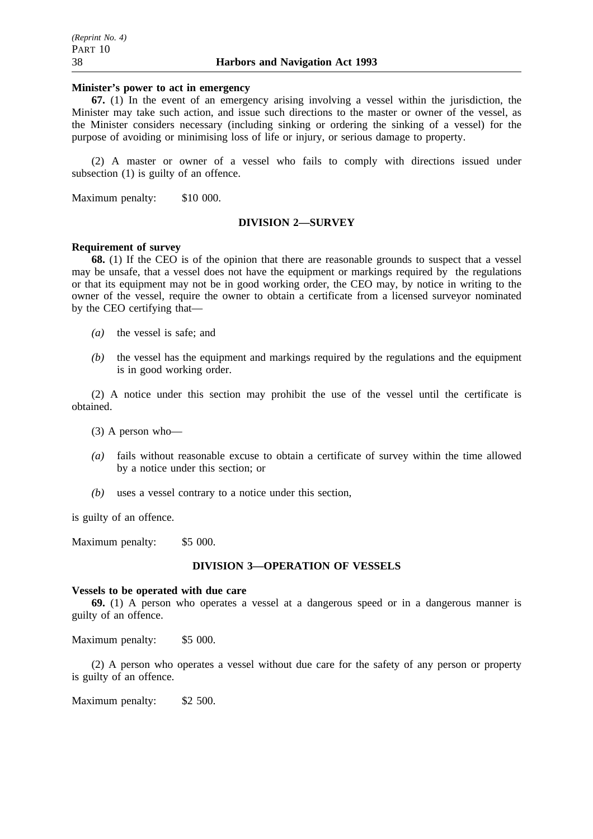### **Minister's power to act in emergency**

**67.** (1) In the event of an emergency arising involving a vessel within the jurisdiction, the Minister may take such action, and issue such directions to the master or owner of the vessel, as the Minister considers necessary (including sinking or ordering the sinking of a vessel) for the purpose of avoiding or minimising loss of life or injury, or serious damage to property.

(2) A master or owner of a vessel who fails to comply with directions issued under subsection (1) is guilty of an offence.

Maximum penalty: \$10 000.

### **DIVISION 2—SURVEY**

# **Requirement of survey**

**68.** (1) If the CEO is of the opinion that there are reasonable grounds to suspect that a vessel may be unsafe, that a vessel does not have the equipment or markings required by the regulations or that its equipment may not be in good working order, the CEO may, by notice in writing to the owner of the vessel, require the owner to obtain a certificate from a licensed surveyor nominated by the CEO certifying that—

- *(a)* the vessel is safe; and
- *(b)* the vessel has the equipment and markings required by the regulations and the equipment is in good working order.

(2) A notice under this section may prohibit the use of the vessel until the certificate is obtained.

(3) A person who—

- *(a)* fails without reasonable excuse to obtain a certificate of survey within the time allowed by a notice under this section; or
- *(b)* uses a vessel contrary to a notice under this section,

is guilty of an offence.

Maximum penalty: \$5 000.

### **DIVISION 3—OPERATION OF VESSELS**

### **Vessels to be operated with due care**

**69.** (1) A person who operates a vessel at a dangerous speed or in a dangerous manner is guilty of an offence.

Maximum penalty: \$5 000.

(2) A person who operates a vessel without due care for the safety of any person or property is guilty of an offence.

Maximum penalty: \$2 500.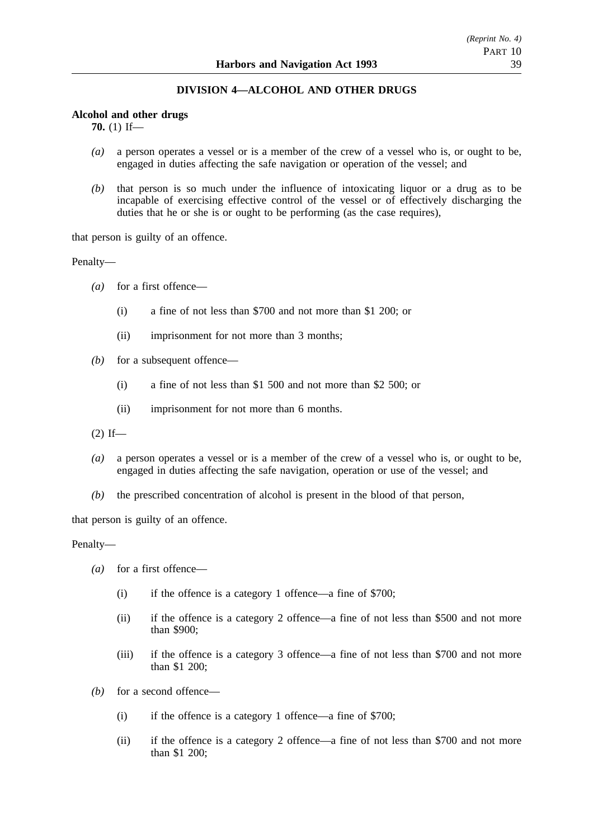# **DIVISION 4—ALCOHOL AND OTHER DRUGS**

### **Alcohol and other drugs**

**70.** (1) If—

- *(a)* a person operates a vessel or is a member of the crew of a vessel who is, or ought to be, engaged in duties affecting the safe navigation or operation of the vessel; and
- *(b)* that person is so much under the influence of intoxicating liquor or a drug as to be incapable of exercising effective control of the vessel or of effectively discharging the duties that he or she is or ought to be performing (as the case requires),

that person is guilty of an offence.

Penalty—

- *(a)* for a first offence—
	- (i) a fine of not less than \$700 and not more than \$1 200; or
	- (ii) imprisonment for not more than 3 months;
- *(b)* for a subsequent offence—
	- (i) a fine of not less than \$1 500 and not more than \$2 500; or
	- (ii) imprisonment for not more than 6 months.

 $(2)$  If—

- *(a)* a person operates a vessel or is a member of the crew of a vessel who is, or ought to be, engaged in duties affecting the safe navigation, operation or use of the vessel; and
- *(b)* the prescribed concentration of alcohol is present in the blood of that person,

that person is guilty of an offence.

Penalty—

- *(a)* for a first offence—
	- (i) if the offence is a category 1 offence—a fine of \$700;
	- (ii) if the offence is a category 2 offence—a fine of not less than \$500 and not more than \$900;
	- (iii) if the offence is a category 3 offence—a fine of not less than \$700 and not more than \$1 200;
- *(b)* for a second offence—
	- (i) if the offence is a category 1 offence—a fine of \$700;
	- (ii) if the offence is a category 2 offence—a fine of not less than \$700 and not more than \$1 200;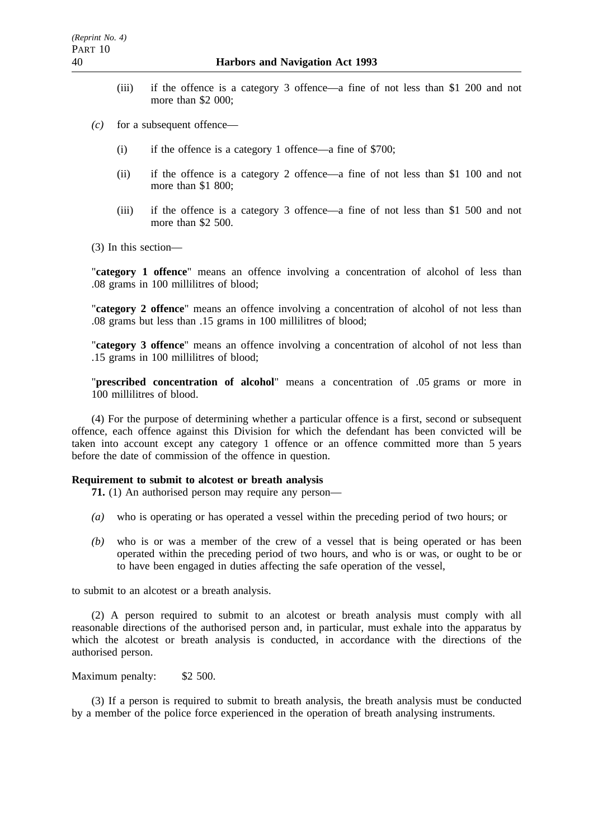- (iii) if the offence is a category 3 offence—a fine of not less than \$1 200 and not more than \$2 000:
- *(c)* for a subsequent offence—
	- (i) if the offence is a category 1 offence—a fine of \$700;
	- (ii) if the offence is a category 2 offence—a fine of not less than \$1 100 and not more than \$1 800;
	- (iii) if the offence is a category 3 offence—a fine of not less than \$1 500 and not more than \$2 500.

(3) In this section—

"**category 1 offence**" means an offence involving a concentration of alcohol of less than .08 grams in 100 millilitres of blood;

"**category 2 offence**" means an offence involving a concentration of alcohol of not less than .08 grams but less than .15 grams in 100 millilitres of blood;

"**category 3 offence**" means an offence involving a concentration of alcohol of not less than .15 grams in 100 millilitres of blood;

"**prescribed concentration of alcohol**" means a concentration of .05 grams or more in 100 millilitres of blood.

(4) For the purpose of determining whether a particular offence is a first, second or subsequent offence, each offence against this Division for which the defendant has been convicted will be taken into account except any category 1 offence or an offence committed more than 5 years before the date of commission of the offence in question.

### **Requirement to submit to alcotest or breath analysis**

**71.** (1) An authorised person may require any person—

- *(a)* who is operating or has operated a vessel within the preceding period of two hours; or
- *(b)* who is or was a member of the crew of a vessel that is being operated or has been operated within the preceding period of two hours, and who is or was, or ought to be or to have been engaged in duties affecting the safe operation of the vessel,

to submit to an alcotest or a breath analysis.

(2) A person required to submit to an alcotest or breath analysis must comply with all reasonable directions of the authorised person and, in particular, must exhale into the apparatus by which the alcotest or breath analysis is conducted, in accordance with the directions of the authorised person.

Maximum penalty: \$2 500.

(3) If a person is required to submit to breath analysis, the breath analysis must be conducted by a member of the police force experienced in the operation of breath analysing instruments.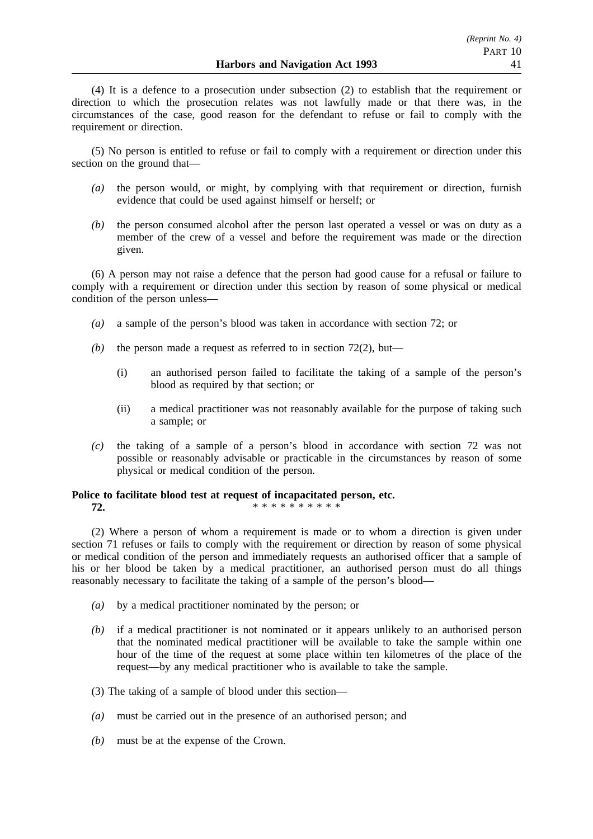(4) It is a defence to a prosecution under subsection (2) to establish that the requirement or direction to which the prosecution relates was not lawfully made or that there was, in the circumstances of the case, good reason for the defendant to refuse or fail to comply with the requirement or direction.

(5) No person is entitled to refuse or fail to comply with a requirement or direction under this section on the ground that—

- *(a)* the person would, or might, by complying with that requirement or direction, furnish evidence that could be used against himself or herself; or
- *(b)* the person consumed alcohol after the person last operated a vessel or was on duty as a member of the crew of a vessel and before the requirement was made or the direction given.

(6) A person may not raise a defence that the person had good cause for a refusal or failure to comply with a requirement or direction under this section by reason of some physical or medical condition of the person unless—

- *(a)* a sample of the person's blood was taken in accordance with section 72; or
- *(b)* the person made a request as referred to in section  $72(2)$ , but—
	- (i) an authorised person failed to facilitate the taking of a sample of the person's blood as required by that section; or
	- (ii) a medical practitioner was not reasonably available for the purpose of taking such a sample; or
- *(c)* the taking of a sample of a person's blood in accordance with section 72 was not possible or reasonably advisable or practicable in the circumstances by reason of some physical or medical condition of the person.

### **Police to facilitate blood test at request of incapacitated person, etc. 72.** \*\*\*\*\*\*\*\*\*\*\*

(2) Where a person of whom a requirement is made or to whom a direction is given under section 71 refuses or fails to comply with the requirement or direction by reason of some physical or medical condition of the person and immediately requests an authorised officer that a sample of his or her blood be taken by a medical practitioner, an authorised person must do all things reasonably necessary to facilitate the taking of a sample of the person's blood—

- *(a)* by a medical practitioner nominated by the person; or
- *(b)* if a medical practitioner is not nominated or it appears unlikely to an authorised person that the nominated medical practitioner will be available to take the sample within one hour of the time of the request at some place within ten kilometres of the place of the request—by any medical practitioner who is available to take the sample.
- (3) The taking of a sample of blood under this section—
- *(a)* must be carried out in the presence of an authorised person; and
- *(b)* must be at the expense of the Crown.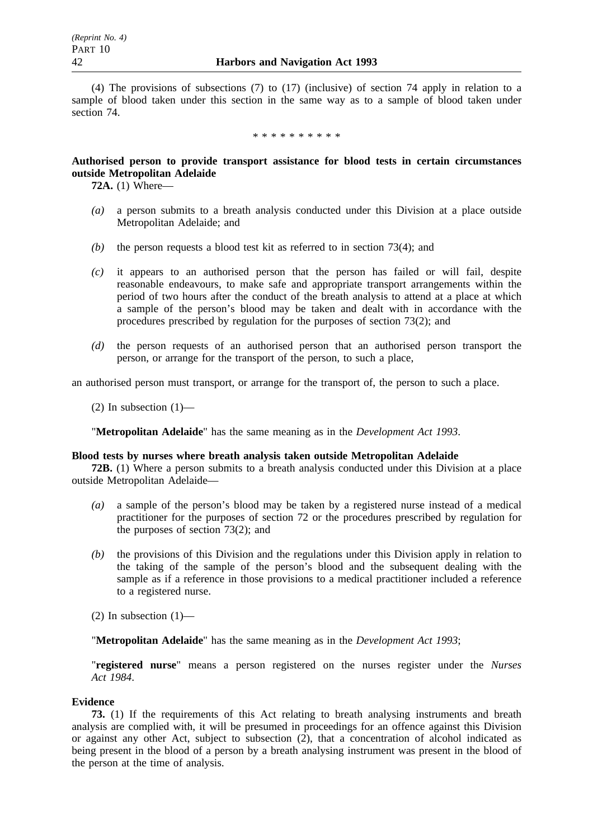(4) The provisions of subsections (7) to (17) (inclusive) of section 74 apply in relation to a sample of blood taken under this section in the same way as to a sample of blood taken under section 74.

\*\*\*\*\*\*\*\*\*\*

# **Authorised person to provide transport assistance for blood tests in certain circumstances outside Metropolitan Adelaide**

**72A.** (1) Where—

- *(a)* a person submits to a breath analysis conducted under this Division at a place outside Metropolitan Adelaide; and
- *(b)* the person requests a blood test kit as referred to in section 73(4); and
- *(c)* it appears to an authorised person that the person has failed or will fail, despite reasonable endeavours, to make safe and appropriate transport arrangements within the period of two hours after the conduct of the breath analysis to attend at a place at which a sample of the person's blood may be taken and dealt with in accordance with the procedures prescribed by regulation for the purposes of section 73(2); and
- *(d)* the person requests of an authorised person that an authorised person transport the person, or arrange for the transport of the person, to such a place,

an authorised person must transport, or arrange for the transport of, the person to such a place.

(2) In subsection  $(1)$ —

"**Metropolitan Adelaide**" has the same meaning as in the *Development Act 1993*.

### **Blood tests by nurses where breath analysis taken outside Metropolitan Adelaide**

**72B.** (1) Where a person submits to a breath analysis conducted under this Division at a place outside Metropolitan Adelaide—

- *(a)* a sample of the person's blood may be taken by a registered nurse instead of a medical practitioner for the purposes of section 72 or the procedures prescribed by regulation for the purposes of section 73(2); and
- *(b)* the provisions of this Division and the regulations under this Division apply in relation to the taking of the sample of the person's blood and the subsequent dealing with the sample as if a reference in those provisions to a medical practitioner included a reference to a registered nurse.

(2) In subsection  $(1)$ —

"**Metropolitan Adelaide**" has the same meaning as in the *Development Act 1993*;

"**registered nurse**" means a person registered on the nurses register under the *Nurses Act 1984*.

### **Evidence**

**73.** (1) If the requirements of this Act relating to breath analysing instruments and breath analysis are complied with, it will be presumed in proceedings for an offence against this Division or against any other Act, subject to subsection (2), that a concentration of alcohol indicated as being present in the blood of a person by a breath analysing instrument was present in the blood of the person at the time of analysis.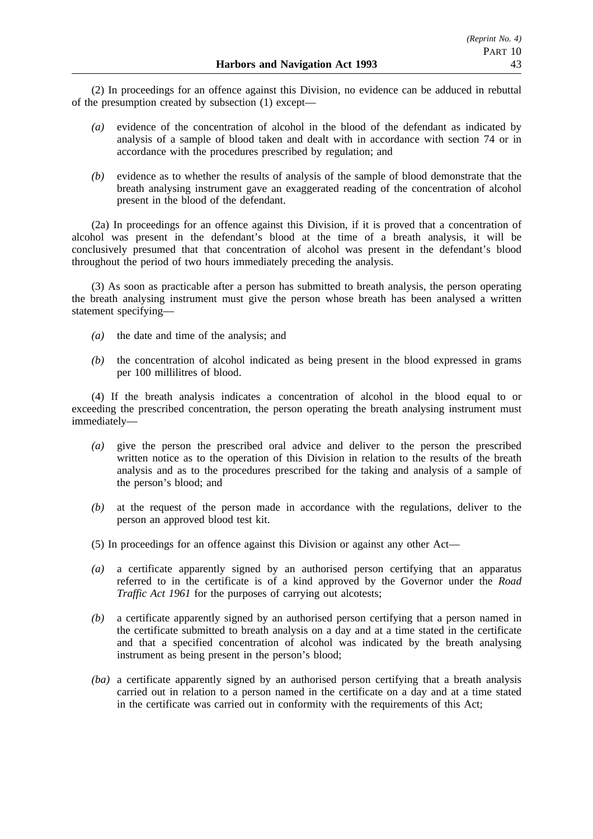(2) In proceedings for an offence against this Division, no evidence can be adduced in rebuttal of the presumption created by subsection (1) except—

- *(a)* evidence of the concentration of alcohol in the blood of the defendant as indicated by analysis of a sample of blood taken and dealt with in accordance with section 74 or in accordance with the procedures prescribed by regulation; and
- *(b)* evidence as to whether the results of analysis of the sample of blood demonstrate that the breath analysing instrument gave an exaggerated reading of the concentration of alcohol present in the blood of the defendant.

(2a) In proceedings for an offence against this Division, if it is proved that a concentration of alcohol was present in the defendant's blood at the time of a breath analysis, it will be conclusively presumed that that concentration of alcohol was present in the defendant's blood throughout the period of two hours immediately preceding the analysis.

(3) As soon as practicable after a person has submitted to breath analysis, the person operating the breath analysing instrument must give the person whose breath has been analysed a written statement specifying—

- *(a)* the date and time of the analysis; and
- *(b)* the concentration of alcohol indicated as being present in the blood expressed in grams per 100 millilitres of blood.

(4) If the breath analysis indicates a concentration of alcohol in the blood equal to or exceeding the prescribed concentration, the person operating the breath analysing instrument must immediately—

- *(a)* give the person the prescribed oral advice and deliver to the person the prescribed written notice as to the operation of this Division in relation to the results of the breath analysis and as to the procedures prescribed for the taking and analysis of a sample of the person's blood; and
- *(b)* at the request of the person made in accordance with the regulations, deliver to the person an approved blood test kit.
- (5) In proceedings for an offence against this Division or against any other Act—
- *(a)* a certificate apparently signed by an authorised person certifying that an apparatus referred to in the certificate is of a kind approved by the Governor under the *Road Traffic Act 1961* for the purposes of carrying out alcotests;
- *(b)* a certificate apparently signed by an authorised person certifying that a person named in the certificate submitted to breath analysis on a day and at a time stated in the certificate and that a specified concentration of alcohol was indicated by the breath analysing instrument as being present in the person's blood;
- *(ba)* a certificate apparently signed by an authorised person certifying that a breath analysis carried out in relation to a person named in the certificate on a day and at a time stated in the certificate was carried out in conformity with the requirements of this Act;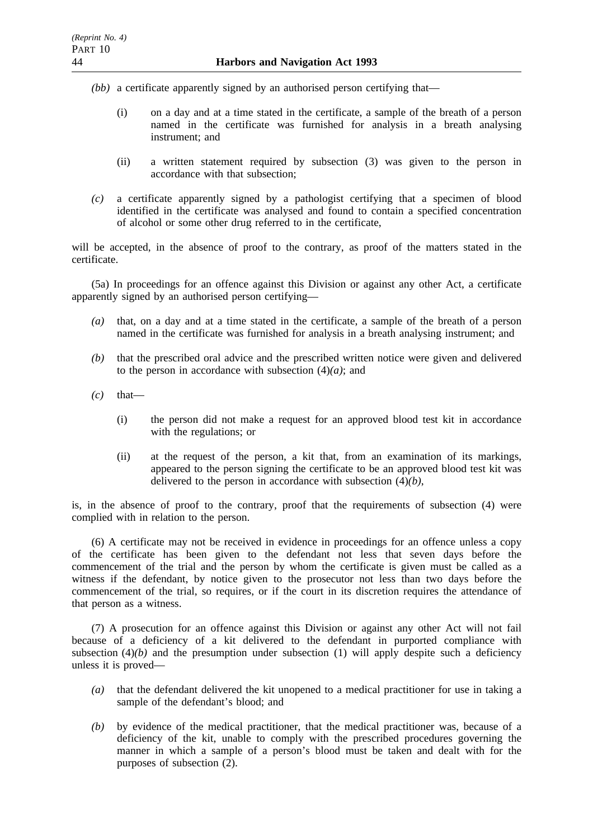- *(bb)* a certificate apparently signed by an authorised person certifying that—
	- (i) on a day and at a time stated in the certificate, a sample of the breath of a person named in the certificate was furnished for analysis in a breath analysing instrument; and
	- (ii) a written statement required by subsection (3) was given to the person in accordance with that subsection;
- *(c)* a certificate apparently signed by a pathologist certifying that a specimen of blood identified in the certificate was analysed and found to contain a specified concentration of alcohol or some other drug referred to in the certificate,

will be accepted, in the absence of proof to the contrary, as proof of the matters stated in the certificate.

(5a) In proceedings for an offence against this Division or against any other Act, a certificate apparently signed by an authorised person certifying—

- *(a)* that, on a day and at a time stated in the certificate, a sample of the breath of a person named in the certificate was furnished for analysis in a breath analysing instrument; and
- *(b)* that the prescribed oral advice and the prescribed written notice were given and delivered to the person in accordance with subsection  $(4)(a)$ ; and
- $(c)$  that—
	- (i) the person did not make a request for an approved blood test kit in accordance with the regulations; or
	- (ii) at the request of the person, a kit that, from an examination of its markings, appeared to the person signing the certificate to be an approved blood test kit was delivered to the person in accordance with subsection (4)*(b)*,

is, in the absence of proof to the contrary, proof that the requirements of subsection (4) were complied with in relation to the person.

(6) A certificate may not be received in evidence in proceedings for an offence unless a copy of the certificate has been given to the defendant not less that seven days before the commencement of the trial and the person by whom the certificate is given must be called as a witness if the defendant, by notice given to the prosecutor not less than two days before the commencement of the trial, so requires, or if the court in its discretion requires the attendance of that person as a witness.

(7) A prosecution for an offence against this Division or against any other Act will not fail because of a deficiency of a kit delivered to the defendant in purported compliance with subsection  $(4)(b)$  and the presumption under subsection  $(1)$  will apply despite such a deficiency unless it is proved—

- *(a)* that the defendant delivered the kit unopened to a medical practitioner for use in taking a sample of the defendant's blood; and
- *(b)* by evidence of the medical practitioner, that the medical practitioner was, because of a deficiency of the kit, unable to comply with the prescribed procedures governing the manner in which a sample of a person's blood must be taken and dealt with for the purposes of subsection (2).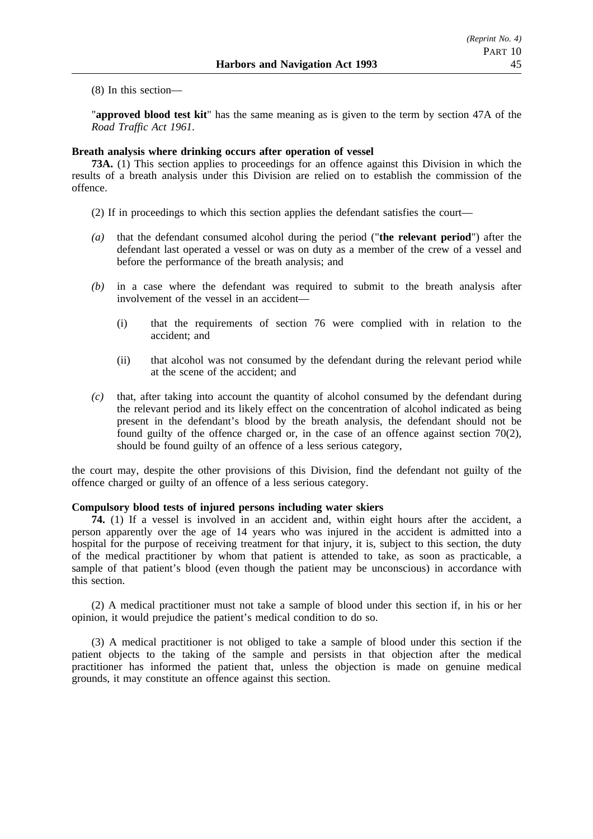(8) In this section—

"**approved blood test kit**" has the same meaning as is given to the term by section 47A of the *Road Traffic Act 1961*.

### **Breath analysis where drinking occurs after operation of vessel**

**73A.** (1) This section applies to proceedings for an offence against this Division in which the results of a breath analysis under this Division are relied on to establish the commission of the offence.

- (2) If in proceedings to which this section applies the defendant satisfies the court—
- *(a)* that the defendant consumed alcohol during the period ("**the relevant period**") after the defendant last operated a vessel or was on duty as a member of the crew of a vessel and before the performance of the breath analysis; and
- *(b)* in a case where the defendant was required to submit to the breath analysis after involvement of the vessel in an accident—
	- (i) that the requirements of section 76 were complied with in relation to the accident; and
	- (ii) that alcohol was not consumed by the defendant during the relevant period while at the scene of the accident; and
- *(c)* that, after taking into account the quantity of alcohol consumed by the defendant during the relevant period and its likely effect on the concentration of alcohol indicated as being present in the defendant's blood by the breath analysis, the defendant should not be found guilty of the offence charged or, in the case of an offence against section  $70(2)$ , should be found guilty of an offence of a less serious category,

the court may, despite the other provisions of this Division, find the defendant not guilty of the offence charged or guilty of an offence of a less serious category.

# **Compulsory blood tests of injured persons including water skiers**

**74.** (1) If a vessel is involved in an accident and, within eight hours after the accident, a person apparently over the age of 14 years who was injured in the accident is admitted into a hospital for the purpose of receiving treatment for that injury, it is, subject to this section, the duty of the medical practitioner by whom that patient is attended to take, as soon as practicable, a sample of that patient's blood (even though the patient may be unconscious) in accordance with this section.

(2) A medical practitioner must not take a sample of blood under this section if, in his or her opinion, it would prejudice the patient's medical condition to do so.

(3) A medical practitioner is not obliged to take a sample of blood under this section if the patient objects to the taking of the sample and persists in that objection after the medical practitioner has informed the patient that, unless the objection is made on genuine medical grounds, it may constitute an offence against this section.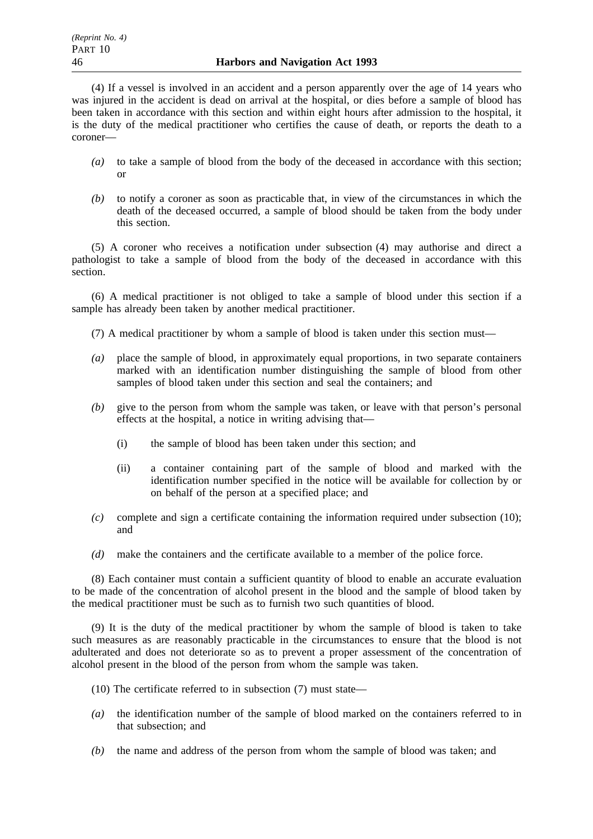(4) If a vessel is involved in an accident and a person apparently over the age of 14 years who was injured in the accident is dead on arrival at the hospital, or dies before a sample of blood has been taken in accordance with this section and within eight hours after admission to the hospital, it is the duty of the medical practitioner who certifies the cause of death, or reports the death to a coroner—

- *(a)* to take a sample of blood from the body of the deceased in accordance with this section;  $\alpha$ r
- *(b)* to notify a coroner as soon as practicable that, in view of the circumstances in which the death of the deceased occurred, a sample of blood should be taken from the body under this section.

(5) A coroner who receives a notification under subsection (4) may authorise and direct a pathologist to take a sample of blood from the body of the deceased in accordance with this section.

(6) A medical practitioner is not obliged to take a sample of blood under this section if a sample has already been taken by another medical practitioner.

(7) A medical practitioner by whom a sample of blood is taken under this section must—

- *(a)* place the sample of blood, in approximately equal proportions, in two separate containers marked with an identification number distinguishing the sample of blood from other samples of blood taken under this section and seal the containers; and
- *(b)* give to the person from whom the sample was taken, or leave with that person's personal effects at the hospital, a notice in writing advising that—
	- (i) the sample of blood has been taken under this section; and
	- (ii) a container containing part of the sample of blood and marked with the identification number specified in the notice will be available for collection by or on behalf of the person at a specified place; and
- *(c)* complete and sign a certificate containing the information required under subsection (10); and
- *(d)* make the containers and the certificate available to a member of the police force.

(8) Each container must contain a sufficient quantity of blood to enable an accurate evaluation to be made of the concentration of alcohol present in the blood and the sample of blood taken by the medical practitioner must be such as to furnish two such quantities of blood.

(9) It is the duty of the medical practitioner by whom the sample of blood is taken to take such measures as are reasonably practicable in the circumstances to ensure that the blood is not adulterated and does not deteriorate so as to prevent a proper assessment of the concentration of alcohol present in the blood of the person from whom the sample was taken.

- (10) The certificate referred to in subsection (7) must state—
- *(a)* the identification number of the sample of blood marked on the containers referred to in that subsection; and
- *(b)* the name and address of the person from whom the sample of blood was taken; and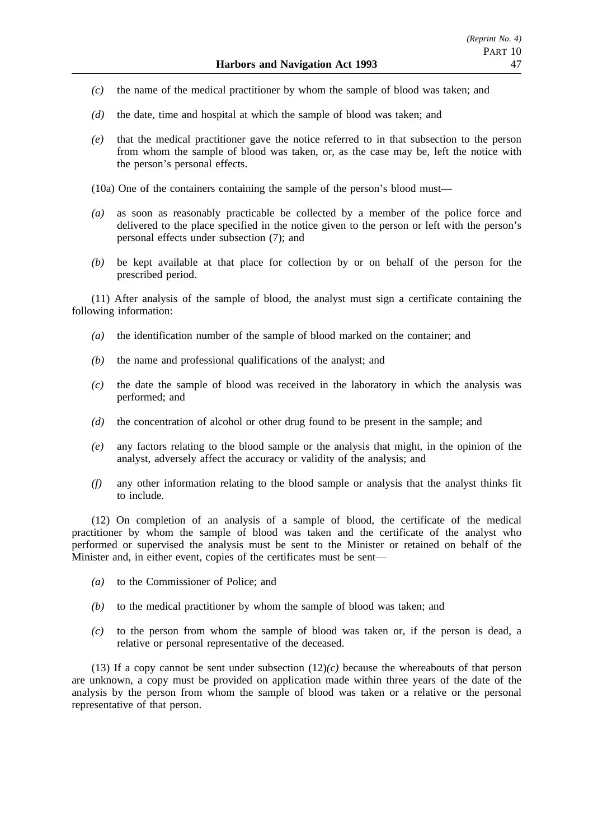- *(c)* the name of the medical practitioner by whom the sample of blood was taken; and
- *(d)* the date, time and hospital at which the sample of blood was taken; and
- *(e)* that the medical practitioner gave the notice referred to in that subsection to the person from whom the sample of blood was taken, or, as the case may be, left the notice with the person's personal effects.

(10a) One of the containers containing the sample of the person's blood must—

- *(a)* as soon as reasonably practicable be collected by a member of the police force and delivered to the place specified in the notice given to the person or left with the person's personal effects under subsection (7); and
- *(b)* be kept available at that place for collection by or on behalf of the person for the prescribed period.

(11) After analysis of the sample of blood, the analyst must sign a certificate containing the following information:

- *(a)* the identification number of the sample of blood marked on the container; and
- *(b)* the name and professional qualifications of the analyst; and
- *(c)* the date the sample of blood was received in the laboratory in which the analysis was performed; and
- *(d)* the concentration of alcohol or other drug found to be present in the sample; and
- *(e)* any factors relating to the blood sample or the analysis that might, in the opinion of the analyst, adversely affect the accuracy or validity of the analysis; and
- *(f)* any other information relating to the blood sample or analysis that the analyst thinks fit to include.

(12) On completion of an analysis of a sample of blood, the certificate of the medical practitioner by whom the sample of blood was taken and the certificate of the analyst who performed or supervised the analysis must be sent to the Minister or retained on behalf of the Minister and, in either event, copies of the certificates must be sent—

- *(a)* to the Commissioner of Police; and
- *(b)* to the medical practitioner by whom the sample of blood was taken; and
- *(c)* to the person from whom the sample of blood was taken or, if the person is dead, a relative or personal representative of the deceased.

(13) If a copy cannot be sent under subsection  $(12)(c)$  because the whereabouts of that person are unknown, a copy must be provided on application made within three years of the date of the analysis by the person from whom the sample of blood was taken or a relative or the personal representative of that person.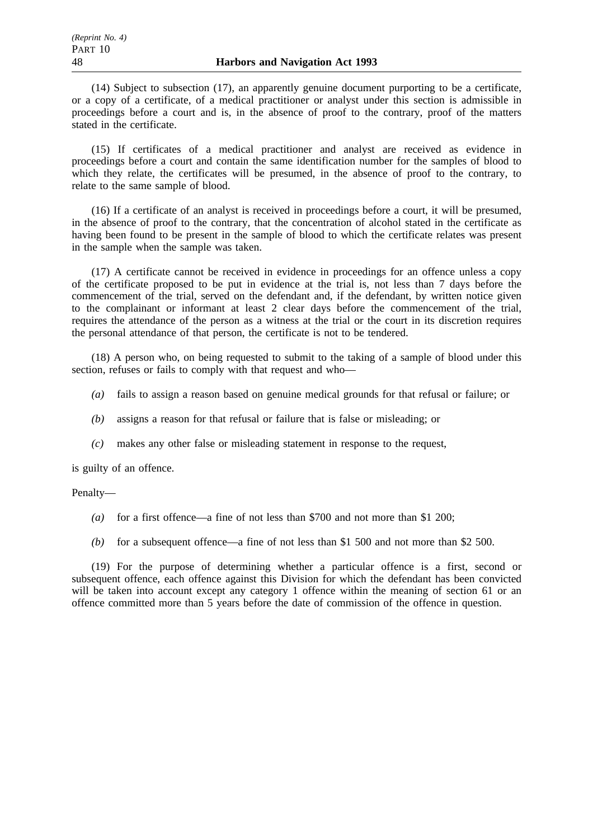(14) Subject to subsection (17), an apparently genuine document purporting to be a certificate, or a copy of a certificate, of a medical practitioner or analyst under this section is admissible in proceedings before a court and is, in the absence of proof to the contrary, proof of the matters stated in the certificate.

(15) If certificates of a medical practitioner and analyst are received as evidence in proceedings before a court and contain the same identification number for the samples of blood to which they relate, the certificates will be presumed, in the absence of proof to the contrary, to relate to the same sample of blood.

(16) If a certificate of an analyst is received in proceedings before a court, it will be presumed, in the absence of proof to the contrary, that the concentration of alcohol stated in the certificate as having been found to be present in the sample of blood to which the certificate relates was present in the sample when the sample was taken.

(17) A certificate cannot be received in evidence in proceedings for an offence unless a copy of the certificate proposed to be put in evidence at the trial is, not less than 7 days before the commencement of the trial, served on the defendant and, if the defendant, by written notice given to the complainant or informant at least 2 clear days before the commencement of the trial, requires the attendance of the person as a witness at the trial or the court in its discretion requires the personal attendance of that person, the certificate is not to be tendered.

(18) A person who, on being requested to submit to the taking of a sample of blood under this section, refuses or fails to comply with that request and who—

- *(a)* fails to assign a reason based on genuine medical grounds for that refusal or failure; or
- *(b)* assigns a reason for that refusal or failure that is false or misleading; or
- *(c)* makes any other false or misleading statement in response to the request,

is guilty of an offence.

### Penalty—

- *(a)* for a first offence—a fine of not less than \$700 and not more than \$1 200;
- *(b)* for a subsequent offence—a fine of not less than \$1 500 and not more than \$2 500.

(19) For the purpose of determining whether a particular offence is a first, second or subsequent offence, each offence against this Division for which the defendant has been convicted will be taken into account except any category 1 offence within the meaning of section 61 or an offence committed more than 5 years before the date of commission of the offence in question.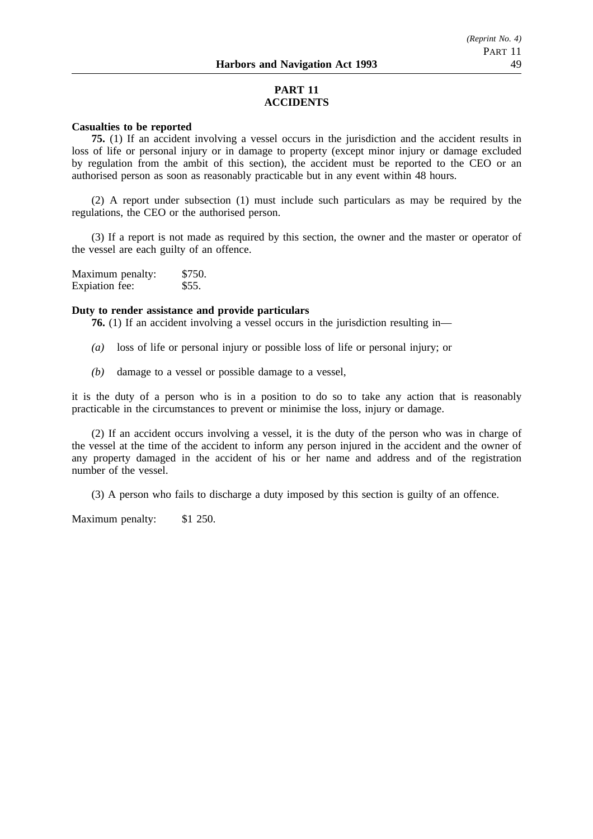# **PART 11 ACCIDENTS**

#### **Casualties to be reported**

**75.** (1) If an accident involving a vessel occurs in the jurisdiction and the accident results in loss of life or personal injury or in damage to property (except minor injury or damage excluded by regulation from the ambit of this section), the accident must be reported to the CEO or an authorised person as soon as reasonably practicable but in any event within 48 hours.

(2) A report under subsection (1) must include such particulars as may be required by the regulations, the CEO or the authorised person.

(3) If a report is not made as required by this section, the owner and the master or operator of the vessel are each guilty of an offence.

| Maximum penalty: | \$750. |
|------------------|--------|
| Expiation fee:   | \$55.  |

# **Duty to render assistance and provide particulars**

**76.** (1) If an accident involving a vessel occurs in the jurisdiction resulting in—

- *(a)* loss of life or personal injury or possible loss of life or personal injury; or
- *(b)* damage to a vessel or possible damage to a vessel,

it is the duty of a person who is in a position to do so to take any action that is reasonably practicable in the circumstances to prevent or minimise the loss, injury or damage.

(2) If an accident occurs involving a vessel, it is the duty of the person who was in charge of the vessel at the time of the accident to inform any person injured in the accident and the owner of any property damaged in the accident of his or her name and address and of the registration number of the vessel.

(3) A person who fails to discharge a duty imposed by this section is guilty of an offence.

Maximum penalty: \$1 250.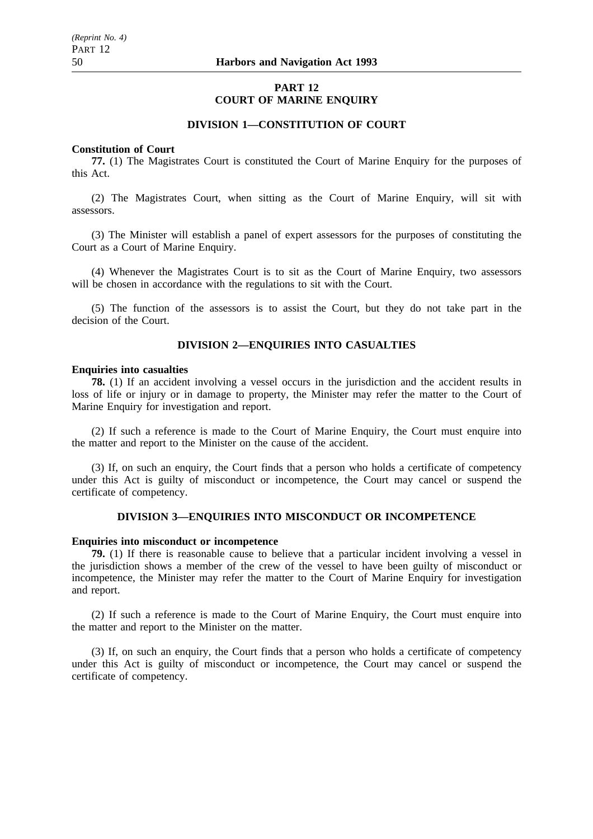# **PART 12 COURT OF MARINE ENQUIRY**

# **DIVISION 1—CONSTITUTION OF COURT**

### **Constitution of Court**

**77.** (1) The Magistrates Court is constituted the Court of Marine Enquiry for the purposes of this Act.

(2) The Magistrates Court, when sitting as the Court of Marine Enquiry, will sit with assessors.

(3) The Minister will establish a panel of expert assessors for the purposes of constituting the Court as a Court of Marine Enquiry.

(4) Whenever the Magistrates Court is to sit as the Court of Marine Enquiry, two assessors will be chosen in accordance with the regulations to sit with the Court.

(5) The function of the assessors is to assist the Court, but they do not take part in the decision of the Court.

### **DIVISION 2—ENQUIRIES INTO CASUALTIES**

#### **Enquiries into casualties**

**78.** (1) If an accident involving a vessel occurs in the jurisdiction and the accident results in loss of life or injury or in damage to property, the Minister may refer the matter to the Court of Marine Enquiry for investigation and report.

(2) If such a reference is made to the Court of Marine Enquiry, the Court must enquire into the matter and report to the Minister on the cause of the accident.

(3) If, on such an enquiry, the Court finds that a person who holds a certificate of competency under this Act is guilty of misconduct or incompetence, the Court may cancel or suspend the certificate of competency.

### **DIVISION 3—ENQUIRIES INTO MISCONDUCT OR INCOMPETENCE**

### **Enquiries into misconduct or incompetence**

**79.** (1) If there is reasonable cause to believe that a particular incident involving a vessel in the jurisdiction shows a member of the crew of the vessel to have been guilty of misconduct or incompetence, the Minister may refer the matter to the Court of Marine Enquiry for investigation and report.

(2) If such a reference is made to the Court of Marine Enquiry, the Court must enquire into the matter and report to the Minister on the matter.

(3) If, on such an enquiry, the Court finds that a person who holds a certificate of competency under this Act is guilty of misconduct or incompetence, the Court may cancel or suspend the certificate of competency.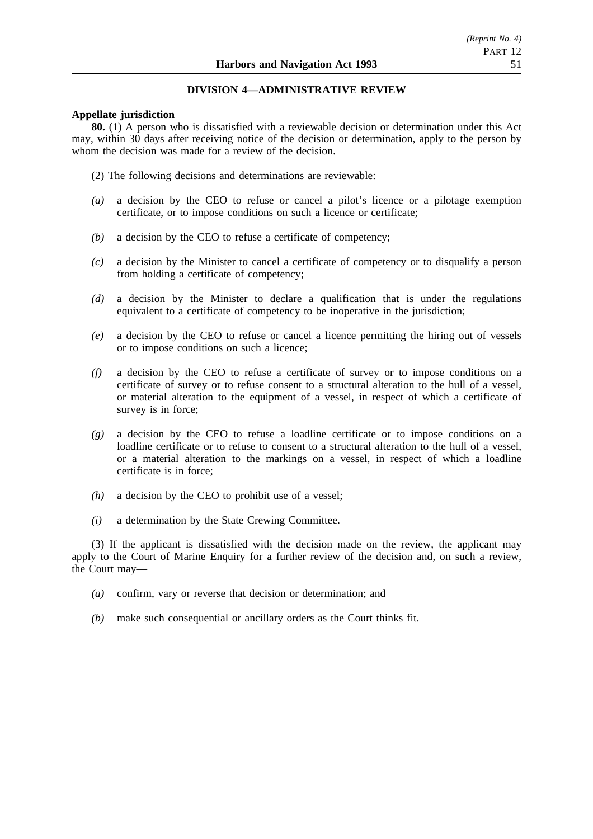### **DIVISION 4—ADMINISTRATIVE REVIEW**

### **Appellate jurisdiction**

**80.** (1) A person who is dissatisfied with a reviewable decision or determination under this Act may, within 30 days after receiving notice of the decision or determination, apply to the person by whom the decision was made for a review of the decision.

- (2) The following decisions and determinations are reviewable:
- *(a)* a decision by the CEO to refuse or cancel a pilot's licence or a pilotage exemption certificate, or to impose conditions on such a licence or certificate;
- *(b)* a decision by the CEO to refuse a certificate of competency;
- *(c)* a decision by the Minister to cancel a certificate of competency or to disqualify a person from holding a certificate of competency;
- *(d)* a decision by the Minister to declare a qualification that is under the regulations equivalent to a certificate of competency to be inoperative in the jurisdiction;
- *(e)* a decision by the CEO to refuse or cancel a licence permitting the hiring out of vessels or to impose conditions on such a licence;
- *(f)* a decision by the CEO to refuse a certificate of survey or to impose conditions on a certificate of survey or to refuse consent to a structural alteration to the hull of a vessel, or material alteration to the equipment of a vessel, in respect of which a certificate of survey is in force;
- *(g)* a decision by the CEO to refuse a loadline certificate or to impose conditions on a loadline certificate or to refuse to consent to a structural alteration to the hull of a vessel, or a material alteration to the markings on a vessel, in respect of which a loadline certificate is in force;
- *(h)* a decision by the CEO to prohibit use of a vessel;
- *(i)* a determination by the State Crewing Committee.

(3) If the applicant is dissatisfied with the decision made on the review, the applicant may apply to the Court of Marine Enquiry for a further review of the decision and, on such a review, the Court may—

- *(a)* confirm, vary or reverse that decision or determination; and
- *(b)* make such consequential or ancillary orders as the Court thinks fit.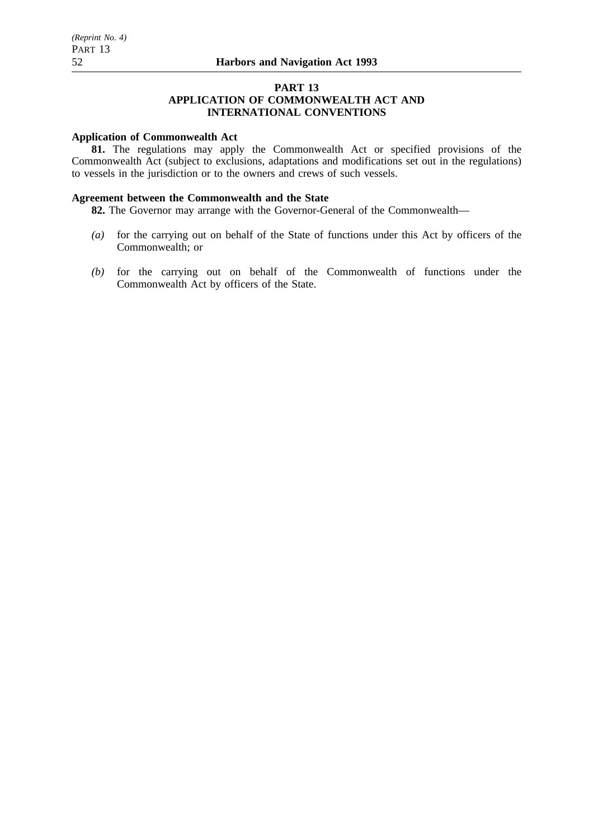# **PART 13**

# **APPLICATION OF COMMONWEALTH ACT AND INTERNATIONAL CONVENTIONS**

### **Application of Commonwealth Act**

**81.** The regulations may apply the Commonwealth Act or specified provisions of the Commonwealth Act (subject to exclusions, adaptations and modifications set out in the regulations) to vessels in the jurisdiction or to the owners and crews of such vessels.

# **Agreement between the Commonwealth and the State**

**82.** The Governor may arrange with the Governor-General of the Commonwealth—

- *(a)* for the carrying out on behalf of the State of functions under this Act by officers of the Commonwealth; or
- *(b)* for the carrying out on behalf of the Commonwealth of functions under the Commonwealth Act by officers of the State.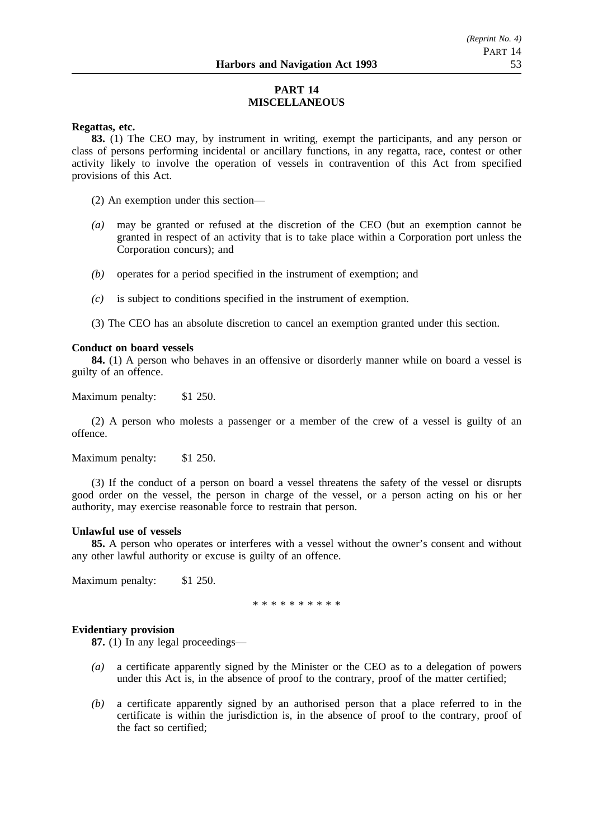# **PART 14 MISCELLANEOUS**

### **Regattas, etc.**

**83.** (1) The CEO may, by instrument in writing, exempt the participants, and any person or class of persons performing incidental or ancillary functions, in any regatta, race, contest or other activity likely to involve the operation of vessels in contravention of this Act from specified provisions of this Act.

(2) An exemption under this section—

- *(a)* may be granted or refused at the discretion of the CEO (but an exemption cannot be granted in respect of an activity that is to take place within a Corporation port unless the Corporation concurs); and
- *(b)* operates for a period specified in the instrument of exemption; and
- *(c)* is subject to conditions specified in the instrument of exemption.
- (3) The CEO has an absolute discretion to cancel an exemption granted under this section.

# **Conduct on board vessels**

**84.** (1) A person who behaves in an offensive or disorderly manner while on board a vessel is guilty of an offence.

Maximum penalty: \$1 250.

(2) A person who molests a passenger or a member of the crew of a vessel is guilty of an offence.

Maximum penalty: \$1 250.

(3) If the conduct of a person on board a vessel threatens the safety of the vessel or disrupts good order on the vessel, the person in charge of the vessel, or a person acting on his or her authority, may exercise reasonable force to restrain that person.

### **Unlawful use of vessels**

**85.** A person who operates or interferes with a vessel without the owner's consent and without any other lawful authority or excuse is guilty of an offence.

Maximum penalty: \$1 250.

\*\*\*\*\*\*\*\*\*\*

### **Evidentiary provision**

**87.** (1) In any legal proceedings—

- *(a)* a certificate apparently signed by the Minister or the CEO as to a delegation of powers under this Act is, in the absence of proof to the contrary, proof of the matter certified;
- *(b)* a certificate apparently signed by an authorised person that a place referred to in the certificate is within the jurisdiction is, in the absence of proof to the contrary, proof of the fact so certified;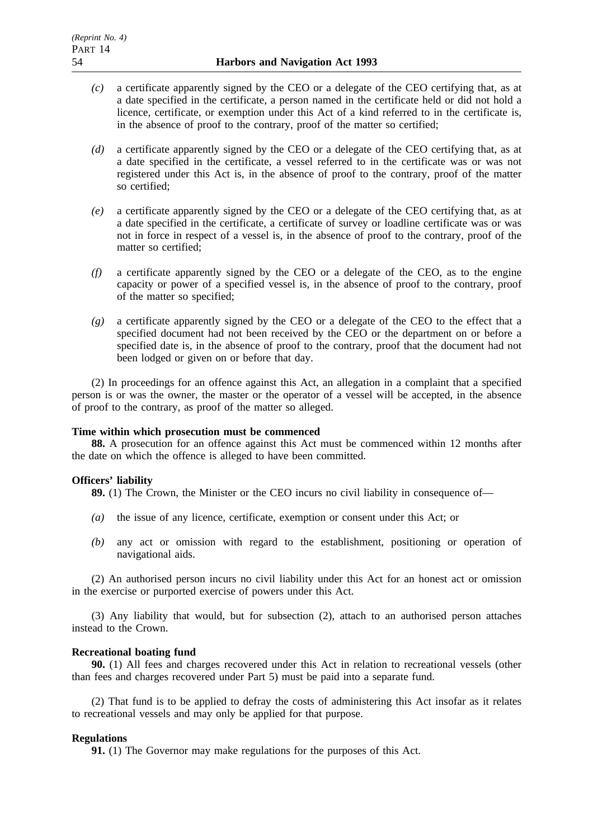- *(c)* a certificate apparently signed by the CEO or a delegate of the CEO certifying that, as at a date specified in the certificate, a person named in the certificate held or did not hold a licence, certificate, or exemption under this Act of a kind referred to in the certificate is, in the absence of proof to the contrary, proof of the matter so certified;
- *(d)* a certificate apparently signed by the CEO or a delegate of the CEO certifying that, as at a date specified in the certificate, a vessel referred to in the certificate was or was not registered under this Act is, in the absence of proof to the contrary, proof of the matter so certified;
- *(e)* a certificate apparently signed by the CEO or a delegate of the CEO certifying that, as at a date specified in the certificate, a certificate of survey or loadline certificate was or was not in force in respect of a vessel is, in the absence of proof to the contrary, proof of the matter so certified;
- *(f)* a certificate apparently signed by the CEO or a delegate of the CEO, as to the engine capacity or power of a specified vessel is, in the absence of proof to the contrary, proof of the matter so specified;
- *(g)* a certificate apparently signed by the CEO or a delegate of the CEO to the effect that a specified document had not been received by the CEO or the department on or before a specified date is, in the absence of proof to the contrary, proof that the document had not been lodged or given on or before that day.

(2) In proceedings for an offence against this Act, an allegation in a complaint that a specified person is or was the owner, the master or the operator of a vessel will be accepted, in the absence of proof to the contrary, as proof of the matter so alleged.

# **Time within which prosecution must be commenced**

**88.** A prosecution for an offence against this Act must be commenced within 12 months after the date on which the offence is alleged to have been committed.

# **Officers' liability**

**89.** (1) The Crown, the Minister or the CEO incurs no civil liability in consequence of—

- *(a)* the issue of any licence, certificate, exemption or consent under this Act; or
- *(b)* any act or omission with regard to the establishment, positioning or operation of navigational aids.

(2) An authorised person incurs no civil liability under this Act for an honest act or omission in the exercise or purported exercise of powers under this Act.

(3) Any liability that would, but for subsection (2), attach to an authorised person attaches instead to the Crown.

### **Recreational boating fund**

**90.** (1) All fees and charges recovered under this Act in relation to recreational vessels (other than fees and charges recovered under Part 5) must be paid into a separate fund.

(2) That fund is to be applied to defray the costs of administering this Act insofar as it relates to recreational vessels and may only be applied for that purpose.

# **Regulations**

**91.** (1) The Governor may make regulations for the purposes of this Act.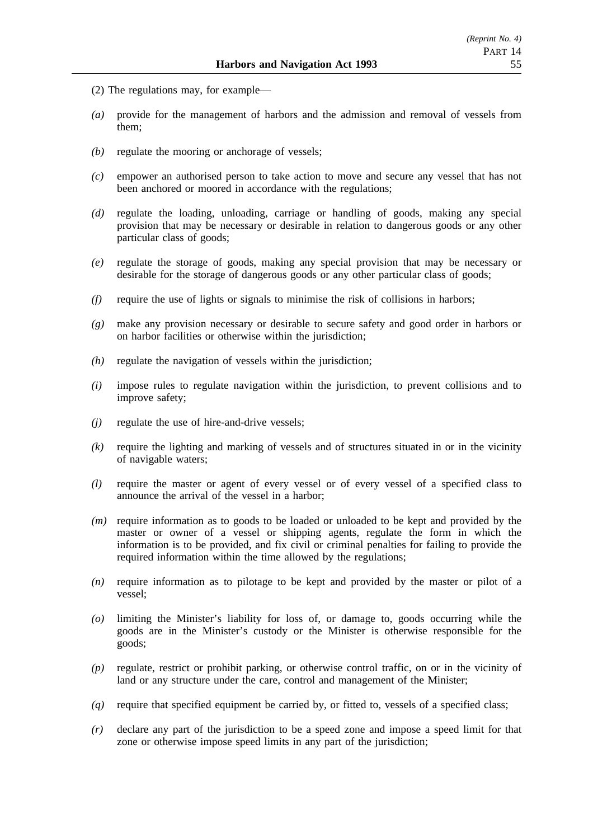- (2) The regulations may, for example—
- *(a)* provide for the management of harbors and the admission and removal of vessels from them;
- *(b)* regulate the mooring or anchorage of vessels;
- *(c)* empower an authorised person to take action to move and secure any vessel that has not been anchored or moored in accordance with the regulations;
- *(d)* regulate the loading, unloading, carriage or handling of goods, making any special provision that may be necessary or desirable in relation to dangerous goods or any other particular class of goods;
- *(e)* regulate the storage of goods, making any special provision that may be necessary or desirable for the storage of dangerous goods or any other particular class of goods;
- *(f)* require the use of lights or signals to minimise the risk of collisions in harbors;
- *(g)* make any provision necessary or desirable to secure safety and good order in harbors or on harbor facilities or otherwise within the jurisdiction;
- *(h)* regulate the navigation of vessels within the jurisdiction;
- *(i)* impose rules to regulate navigation within the jurisdiction, to prevent collisions and to improve safety;
- *(j)* regulate the use of hire-and-drive vessels;
- *(k)* require the lighting and marking of vessels and of structures situated in or in the vicinity of navigable waters;
- *(l)* require the master or agent of every vessel or of every vessel of a specified class to announce the arrival of the vessel in a harbor;
- *(m)* require information as to goods to be loaded or unloaded to be kept and provided by the master or owner of a vessel or shipping agents, regulate the form in which the information is to be provided, and fix civil or criminal penalties for failing to provide the required information within the time allowed by the regulations;
- *(n)* require information as to pilotage to be kept and provided by the master or pilot of a vessel;
- *(o)* limiting the Minister's liability for loss of, or damage to, goods occurring while the goods are in the Minister's custody or the Minister is otherwise responsible for the goods;
- *(p)* regulate, restrict or prohibit parking, or otherwise control traffic, on or in the vicinity of land or any structure under the care, control and management of the Minister;
- *(q)* require that specified equipment be carried by, or fitted to, vessels of a specified class;
- *(r)* declare any part of the jurisdiction to be a speed zone and impose a speed limit for that zone or otherwise impose speed limits in any part of the jurisdiction;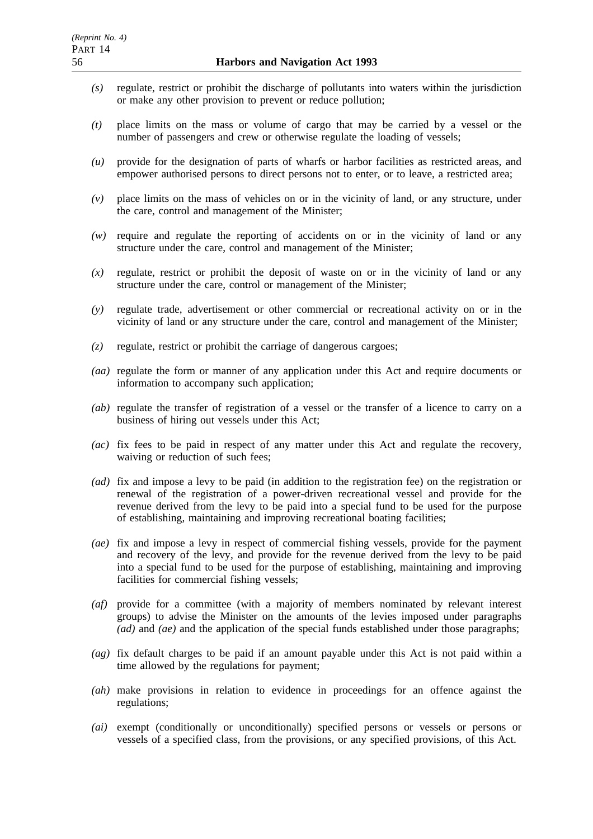- *(s)* regulate, restrict or prohibit the discharge of pollutants into waters within the jurisdiction or make any other provision to prevent or reduce pollution;
- *(t)* place limits on the mass or volume of cargo that may be carried by a vessel or the number of passengers and crew or otherwise regulate the loading of vessels;
- *(u)* provide for the designation of parts of wharfs or harbor facilities as restricted areas, and empower authorised persons to direct persons not to enter, or to leave, a restricted area;
- *(v)* place limits on the mass of vehicles on or in the vicinity of land, or any structure, under the care, control and management of the Minister;
- *(w)* require and regulate the reporting of accidents on or in the vicinity of land or any structure under the care, control and management of the Minister;
- *(x)* regulate, restrict or prohibit the deposit of waste on or in the vicinity of land or any structure under the care, control or management of the Minister;
- *(y)* regulate trade, advertisement or other commercial or recreational activity on or in the vicinity of land or any structure under the care, control and management of the Minister;
- *(z)* regulate, restrict or prohibit the carriage of dangerous cargoes;
- *(aa)* regulate the form or manner of any application under this Act and require documents or information to accompany such application;
- *(ab)* regulate the transfer of registration of a vessel or the transfer of a licence to carry on a business of hiring out vessels under this Act;
- *(ac)* fix fees to be paid in respect of any matter under this Act and regulate the recovery, waiving or reduction of such fees;
- *(ad)* fix and impose a levy to be paid (in addition to the registration fee) on the registration or renewal of the registration of a power-driven recreational vessel and provide for the revenue derived from the levy to be paid into a special fund to be used for the purpose of establishing, maintaining and improving recreational boating facilities;
- *(ae)* fix and impose a levy in respect of commercial fishing vessels, provide for the payment and recovery of the levy, and provide for the revenue derived from the levy to be paid into a special fund to be used for the purpose of establishing, maintaining and improving facilities for commercial fishing vessels;
- *(af)* provide for a committee (with a majority of members nominated by relevant interest groups) to advise the Minister on the amounts of the levies imposed under paragraphs *(ad)* and *(ae)* and the application of the special funds established under those paragraphs;
- *(ag)* fix default charges to be paid if an amount payable under this Act is not paid within a time allowed by the regulations for payment;
- *(ah)* make provisions in relation to evidence in proceedings for an offence against the regulations;
- *(ai)* exempt (conditionally or unconditionally) specified persons or vessels or persons or vessels of a specified class, from the provisions, or any specified provisions, of this Act.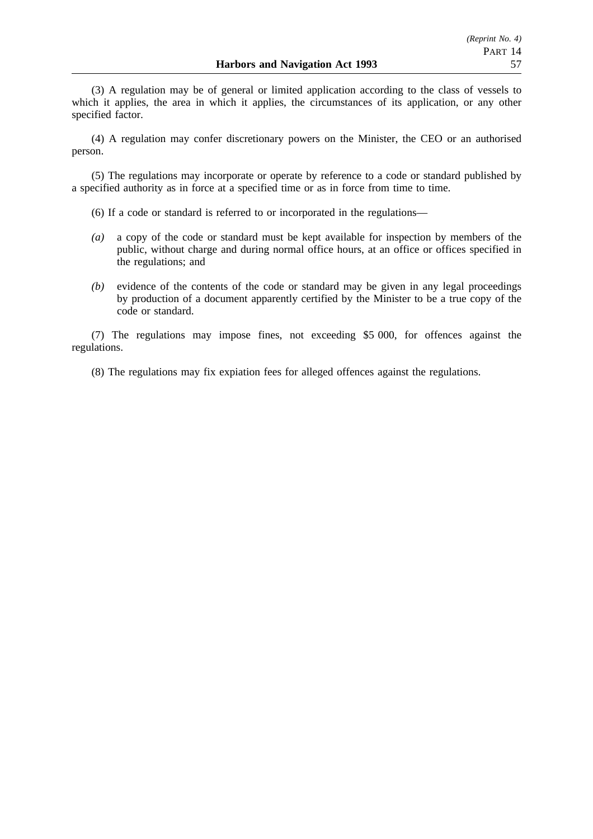(3) A regulation may be of general or limited application according to the class of vessels to which it applies, the area in which it applies, the circumstances of its application, or any other specified factor.

(4) A regulation may confer discretionary powers on the Minister, the CEO or an authorised person.

(5) The regulations may incorporate or operate by reference to a code or standard published by a specified authority as in force at a specified time or as in force from time to time.

(6) If a code or standard is referred to or incorporated in the regulations—

- *(a)* a copy of the code or standard must be kept available for inspection by members of the public, without charge and during normal office hours, at an office or offices specified in the regulations; and
- *(b)* evidence of the contents of the code or standard may be given in any legal proceedings by production of a document apparently certified by the Minister to be a true copy of the code or standard.

(7) The regulations may impose fines, not exceeding \$5 000, for offences against the regulations.

(8) The regulations may fix expiation fees for alleged offences against the regulations.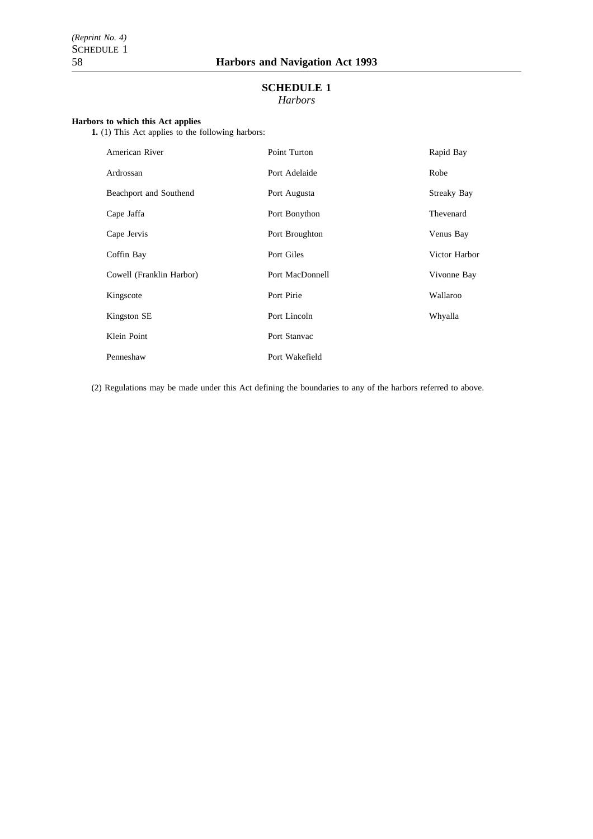# **SCHEDULE 1** *Harbors*

#### **Harbors to which this Act applies**

**1.** (1) This Act applies to the following harbors:

| American River           | Point Turton    | Rapid Bay          |
|--------------------------|-----------------|--------------------|
| Ardrossan                | Port Adelaide   | Robe               |
| Beachport and Southend   | Port Augusta    | <b>Streaky Bay</b> |
| Cape Jaffa               | Port Bonython   | Thevenard          |
| Cape Jervis              | Port Broughton  | Venus Bay          |
| Coffin Bay               | Port Giles      | Victor Harbor      |
| Cowell (Franklin Harbor) | Port MacDonnell | Vivonne Bay        |
| Kingscote                | Port Pirie      | Wallaroo           |
| Kingston SE              | Port Lincoln    | Whyalla            |
| Klein Point              | Port Stanyac    |                    |
| Penneshaw                | Port Wakefield  |                    |

(2) Regulations may be made under this Act defining the boundaries to any of the harbors referred to above.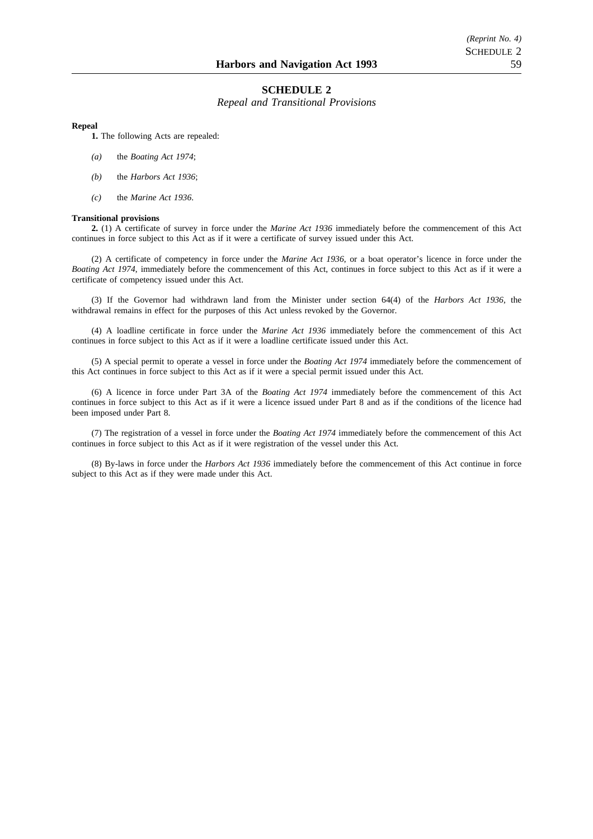### **SCHEDULE 2**

*Repeal and Transitional Provisions*

#### **Repeal**

**1.** The following Acts are repealed:

- *(a)* the *Boating Act 1974*;
- *(b)* the *Harbors Act 1936*;
- *(c)* the *Marine Act 1936*.

#### **Transitional provisions**

**2.** (1) A certificate of survey in force under the *Marine Act 1936* immediately before the commencement of this Act continues in force subject to this Act as if it were a certificate of survey issued under this Act.

(2) A certificate of competency in force under the *Marine Act 1936*, or a boat operator's licence in force under the *Boating Act 1974*, immediately before the commencement of this Act, continues in force subject to this Act as if it were a certificate of competency issued under this Act.

(3) If the Governor had withdrawn land from the Minister under section 64(4) of the *Harbors Act 1936*, the withdrawal remains in effect for the purposes of this Act unless revoked by the Governor.

(4) A loadline certificate in force under the *Marine Act 1936* immediately before the commencement of this Act continues in force subject to this Act as if it were a loadline certificate issued under this Act.

(5) A special permit to operate a vessel in force under the *Boating Act 1974* immediately before the commencement of this Act continues in force subject to this Act as if it were a special permit issued under this Act.

(6) A licence in force under Part 3A of the *Boating Act 1974* immediately before the commencement of this Act continues in force subject to this Act as if it were a licence issued under Part 8 and as if the conditions of the licence had been imposed under Part 8.

(7) The registration of a vessel in force under the *Boating Act 1974* immediately before the commencement of this Act continues in force subject to this Act as if it were registration of the vessel under this Act.

(8) By-laws in force under the *Harbors Act 1936* immediately before the commencement of this Act continue in force subject to this Act as if they were made under this Act.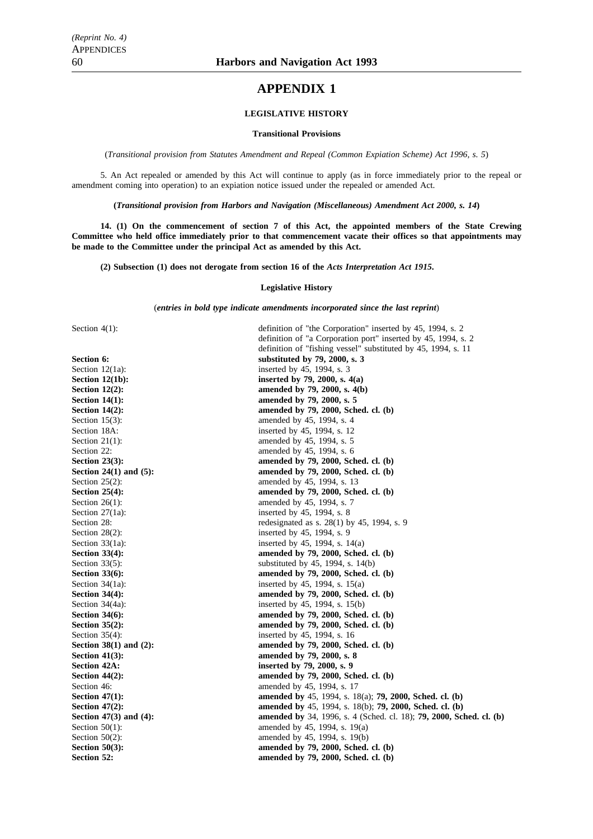# **APPENDIX 1**

### **LEGISLATIVE HISTORY**

#### **Transitional Provisions**

(*Transitional provision from Statutes Amendment and Repeal (Common Expiation Scheme) Act 1996, s. 5*)

5. An Act repealed or amended by this Act will continue to apply (as in force immediately prior to the repeal or amendment coming into operation) to an expiation notice issued under the repealed or amended Act.

**(***Transitional provision from Harbors and Navigation (Miscellaneous) Amendment Act 2000, s. 14***)**

**14. (1) On the commencement of section 7 of this Act, the appointed members of the State Crewing Committee who held office immediately prior to that commencement vacate their offices so that appointments may be made to the Committee under the principal Act as amended by this Act.**

**(2) Subsection (1) does not derogate from section 16 of the** *Acts Interpretation Act 1915***.**

#### **Legislative History**

(*entries in bold type indicate amendments incorporated since the last reprint*)

Section  $4(1)$ :

| Section $4(1)$ :            | definition of "the Corporation" inserted by 45, 1994, s. 2                        |
|-----------------------------|-----------------------------------------------------------------------------------|
|                             | definition of "a Corporation port" inserted by 45, 1994, s. 2                     |
|                             | definition of "fishing vessel" substituted by 45, 1994, s. 11                     |
| <b>Section 6:</b>           | substituted by 79, 2000, s. 3                                                     |
| Section $12(1a)$ :          | inserted by 45, 1994, s. 3                                                        |
| Section $12(1b)$ :          | inserted by 79, 2000, s. $4(a)$                                                   |
| Section $12(2)$ :           | amended by 79, 2000, s. 4(b)                                                      |
| <b>Section 14(1):</b>       | amended by 79, 2000, s. 5                                                         |
| <b>Section 14(2):</b>       | amended by 79, 2000, Sched. cl. (b)                                               |
| Section $15(3)$ :           | amended by 45, 1994, s. 4                                                         |
| Section 18A:                | inserted by 45, 1994, s. 12                                                       |
| Section $21(1)$ :           | amended by 45, 1994, s. 5                                                         |
| Section 22:                 | amended by 45, 1994, s. 6                                                         |
| <b>Section 23(3):</b>       | amended by 79, 2000, Sched. cl. (b)                                               |
| Section $24(1)$ and $(5)$ : | amended by 79, 2000, Sched. cl. (b)                                               |
| Section $25(2)$ :           | amended by 45, 1994, s. 13                                                        |
| Section $25(4)$ :           | amended by 79, 2000, Sched. cl. (b)                                               |
| Section $26(1)$ :           | amended by 45, 1994, s. 7                                                         |
| Section $27(1a)$ :          | inserted by 45, 1994, s. 8                                                        |
| Section 28:                 | redesignated as s. $28(1)$ by 45, 1994, s. 9                                      |
| Section 28(2):              | inserted by 45, 1994, s. 9                                                        |
| Section $33(1a)$ :          | inserted by 45, 1994, s. $14(a)$                                                  |
| <b>Section 33(4):</b>       | amended by 79, 2000, Sched. cl. (b)                                               |
| Section $33(5)$ :           | substituted by $45$ , 1994, s. 14(b)                                              |
| <b>Section 33(6):</b>       | amended by 79, 2000, Sched. cl. (b)                                               |
| Section $34(1a)$ :          | inserted by 45, 1994, s. 15(a)                                                    |
| <b>Section 34(4):</b>       | amended by 79, 2000, Sched. cl. (b)                                               |
| Section 34(4a):             | inserted by 45, 1994, s. 15(b)                                                    |
| <b>Section 34(6):</b>       | amended by 79, 2000, Sched. cl. (b)                                               |
| <b>Section 35(2):</b>       | amended by 79, 2000, Sched. cl. (b)                                               |
| Section $35(4)$ :           | inserted by 45, 1994, s. 16                                                       |
| Section $38(1)$ and $(2)$ : | amended by 79, 2000, Sched. cl. (b)                                               |
| Section $41(3)$ :           | amended by 79, 2000, s. 8                                                         |
| <b>Section 42A:</b>         | inserted by 79, 2000, s. 9                                                        |
| <b>Section 44(2):</b>       | amended by 79, 2000, Sched. cl. (b)                                               |
| Section 46:                 | amended by 45, 1994, s. 17                                                        |
| Section $47(1)$ :           | amended by 45, 1994, s. 18(a); <b>79, 2000, Sched. cl. (b)</b>                    |
| <b>Section 47(2):</b>       | amended by 45, 1994, s. 18(b); 79, 2000, Sched. cl. (b)                           |
| Section $47(3)$ and $(4)$ : | <b>amended by</b> 34, 1996, s. 4 (Sched. cl. 18); <b>79, 2000, Sched. cl. (b)</b> |
| Section $50(1)$ :           | amended by 45, 1994, s. 19(a)                                                     |
| Section $50(2)$ :           | amended by 45, 1994, s. 19(b)                                                     |
| <b>Section 50(3):</b>       | amended by 79, 2000, Sched. cl. (b)                                               |
| <b>Section 52:</b>          | amended by 79, 2000, Sched. cl. (b)                                               |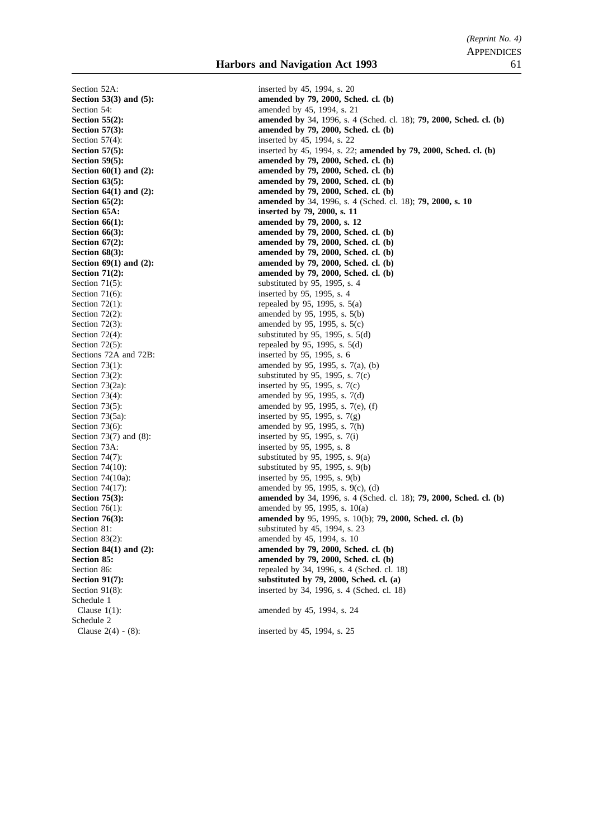Section 52A: inserted by 45, 1994, s. 20 Section 71(6): inserted by 95, 1995, s. 4 Sections 72A and 72B: inserted by 95, 1995, s. 6 Section 73A: inserted by 95, 1995, s. 8 Schedule 1 Schedule 2

**Section 53(3) and (5): amended by 79, 2000, Sched. cl. (b)** Section 54: **amended** by 45, 1994, s. 21 **Section 55(2): amended by** 34, 1996, s. 4 (Sched. cl. 18); **79, 2000, Sched. cl. (b) Section 57(3):** amended by 79, 2000, Sched. cl. (b) Section 57(4): inserted by 45, 1994, s. 22 **Section 57(5):** inserted by 45, 1994, s. 22; **amended by 79, 2000, Sched. cl. (b) Section 59(5):** amended by 79, 2000, Sched. cl. (b)<br>Section 60(1) and (2): amended by 79, 2000, Sched. cl. (b) amended by 79, 2000, Sched. cl. (b) **Section 63(5):** amended by 79, 2000, Sched. cl. (b) **Section 64(1) and (2): amended by 79, 2000, Sched. cl. (b) Section 65(2): amended by** 34, 1996, s. 4 (Sched. cl. 18); **79, 2000, s. 10 Section 65A:** inserted by 79, 2000, s. 11 **Section 66(1):** amended by 79, 2000, s. 12 **Section 66(3): amended by 79, 2000, Sched. cl. (b) Section 67(2): amended by 79, 2000, Sched. cl. (b)**<br>**Section 68(3): amended by 79, 2000, Sched. cl. (b)** amended by 79, 2000, Sched. cl. (b) **Section 69(1) and (2): amended by 79, 2000, Sched. cl. (b) Section 71(2): amended by 79, 2000, Sched. cl. (b)**<br>Section 71(5): **amended by 79, 2000, Sched. cl. (b)** substituted by 95, 1995, s.  $4$ Section  $72(1)$ : repealed by 95, 1995, s. 5(a)<br>Section  $72(2)$ : amended by 95, 1995, s. 5(b) amended by 95, 1995, s.  $5(b)$ Section  $72(3)$ : amended by 95, 1995, s.  $5(c)$ Section 72(4):<br>Section 72(5):<br>Section 72(5):<br>Section 72(5):<br>Section 72(5): repealed by 95, 1995, s.  $5(d)$ Section 73(1): amended by 95, 1995, s. 7(a), (b)<br>Section 73(2): substituted by 95, 1995, s. 7(c) substituted by 95, 1995, s.  $7(c)$ Section 73(2a): inserted by 95, 1995, s. 7(c) Section 73(4): amended by 95, 1995, s. 7(d) Section 73(5): amended by 95, 1995, s. 7(e), (f) Section 73(5a): inserted by 95, 1995, s.  $7(g)$ Section 73(6): amended by 95, 1995, s. 7(h) Section 73(7) and (8): inserted by 95, 1995, s. 7(i) Section 74(7):<br>Section 74(10):<br>Section 74(10):<br>Section 74(10):<br>Section 74(10): substituted by 95, 1995, s.  $9(b)$ Section 74(10a): inserted by 95, 1995, s. 9(b) Section 74(17): amended by 95, 1995, s. 9(c), (d) **Section 75(3): amended by** 34, 1996, s. 4 (Sched. cl. 18); **79, 2000, Sched. cl. (b)** Section 76(1): amended by 95, 1995, s. 10(a) **Section 76(3): amended by** 95, 1995, s. 10(b); **79, 2000, Sched. cl. (b)** Section 81: substituted by 45, 1994, s. 23 Section 83(2): amended by 45, 1994, s. 10 **Section 84(1) and (2): amended by 79, 2000, Sched. cl. (b) Section 85: amended by 79, 2000, Sched. cl. (b)** Section 86: repealed by 34, 1996, s. 4 (Sched. cl. 18) **Section 91(7):** substituted by 79, 2000, Sched. cl. (a) Section 91(8): inserted by 34, 1996, s. 4 (Sched. cl. 18) Clause 1(1): amended by 45, 1994, s. 24

Clause 2(4) - (8): inserted by 45, 1994, s. 25